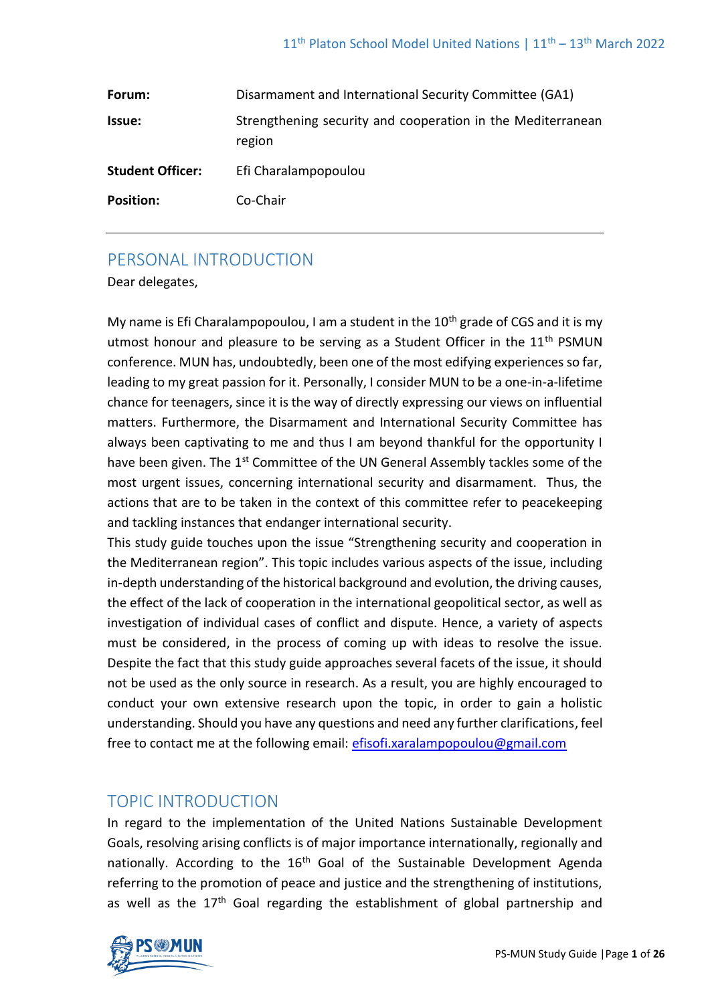| Forum:                  | Disarmament and International Security Committee (GA1)                |
|-------------------------|-----------------------------------------------------------------------|
| <b>Issue:</b>           | Strengthening security and cooperation in the Mediterranean<br>region |
| <b>Student Officer:</b> | Efi Charalampopoulou                                                  |
| <b>Position:</b>        | Co-Chair                                                              |

# PERSONAL INTRODUCTION

Dear delegates,

My name is Efi Charalampopoulou, I am a student in the  $10<sup>th</sup>$  grade of CGS and it is my utmost honour and pleasure to be serving as a Student Officer in the 11<sup>th</sup> PSMUN conference. MUN has, undoubtedly, been one of the most edifying experiences so far, leading to my great passion for it. Personally, I consider MUN to be a one-in-a-lifetime chance for teenagers, since it is the way of directly expressing our views on influential matters. Furthermore, the Disarmament and International Security Committee has always been captivating to me and thus I am beyond thankful for the opportunity I have been given. The 1<sup>st</sup> Committee of the UN General Assembly tackles some of the most urgent issues, concerning international security and disarmament. Thus, the actions that are to be taken in the context of this committee refer to peacekeeping and tackling instances that endanger international security.

This study guide touches upon the issue "Strengthening security and cooperation in the Mediterranean region". This topic includes various aspects of the issue, including in-depth understanding of the historical background and evolution, the driving causes, the effect of the lack of cooperation in the international geopolitical sector, as well as investigation of individual cases of conflict and dispute. Hence, a variety of aspects must be considered, in the process of coming up with ideas to resolve the issue. Despite the fact that this study guide approaches several facets of the issue, it should not be used as the only source in research. As a result, you are highly encouraged to conduct your own extensive research upon the topic, in order to gain a holistic understanding. Should you have any questions and need any further clarifications, feel free to contact me at the following email: [efisofi.xaralampopoulou@gmail.com](mailto:efisofi.xaralampopoulou@gmail.com)

# TOPIC INTRODUCTION

In regard to the implementation of the United Nations Sustainable Development Goals, resolving arising conflicts is of major importance internationally, regionally and nationally. According to the 16<sup>th</sup> Goal of the Sustainable Development Agenda referring to the promotion of peace and justice and the strengthening of institutions, as well as the 17<sup>th</sup> Goal regarding the establishment of global partnership and

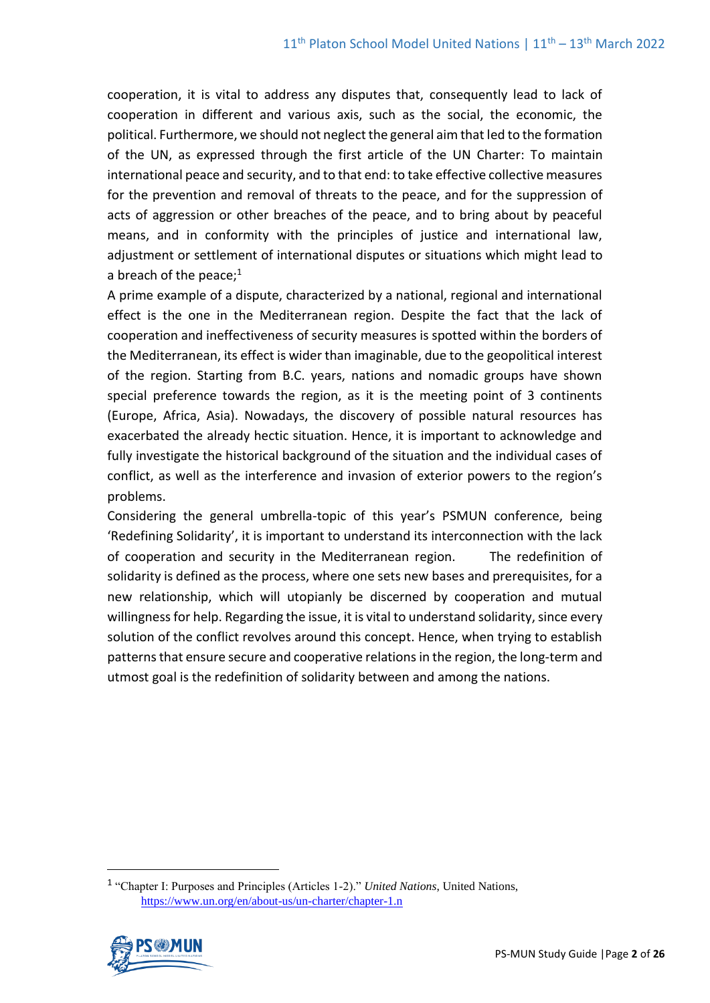cooperation, it is vital to address any disputes that, consequently lead to lack of cooperation in different and various axis, such as the social, the economic, the political. Furthermore, we should not neglect the general aim that led to the formation of the UN, as expressed through the first article of the UN Charter: To maintain international peace and security, and to that end: to take effective collective measures for the prevention and removal of threats to the peace, and for the suppression of acts of aggression or other breaches of the peace, and to bring about by peaceful means, and in conformity with the principles of justice and international law, adjustment or settlement of international disputes or situations which might lead to a breach of the peace; $1$ 

A prime example of a dispute, characterized by a national, regional and international effect is the one in the Mediterranean region. Despite the fact that the lack of cooperation and ineffectiveness of security measures is spotted within the borders of the Mediterranean, its effect is wider than imaginable, due to the geopolitical interest of the region. Starting from B.C. years, nations and nomadic groups have shown special preference towards the region, as it is the meeting point of 3 continents (Europe, Africa, Asia). Nowadays, the discovery of possible natural resources has exacerbated the already hectic situation. Hence, it is important to acknowledge and fully investigate the historical background of the situation and the individual cases of conflict, as well as the interference and invasion of exterior powers to the region's problems.

Considering the general umbrella-topic of this year's PSMUN conference, being 'Redefining Solidarity', it is important to understand its interconnection with the lack of cooperation and security in the Mediterranean region. The redefinition of solidarity is defined as the process, where one sets new bases and prerequisites, for a new relationship, which will utopianly be discerned by cooperation and mutual willingness for help. Regarding the issue, it is vital to understand solidarity, since every solution of the conflict revolves around this concept. Hence, when trying to establish patterns that ensure secure and cooperative relations in the region, the long-term and utmost goal is the redefinition of solidarity between and among the nations.

<sup>1</sup> "Chapter I: Purposes and Principles (Articles 1-2)." *United Nations*, United Nations, <https://www.un.org/en/about-us/un-charter/chapter-1.n>

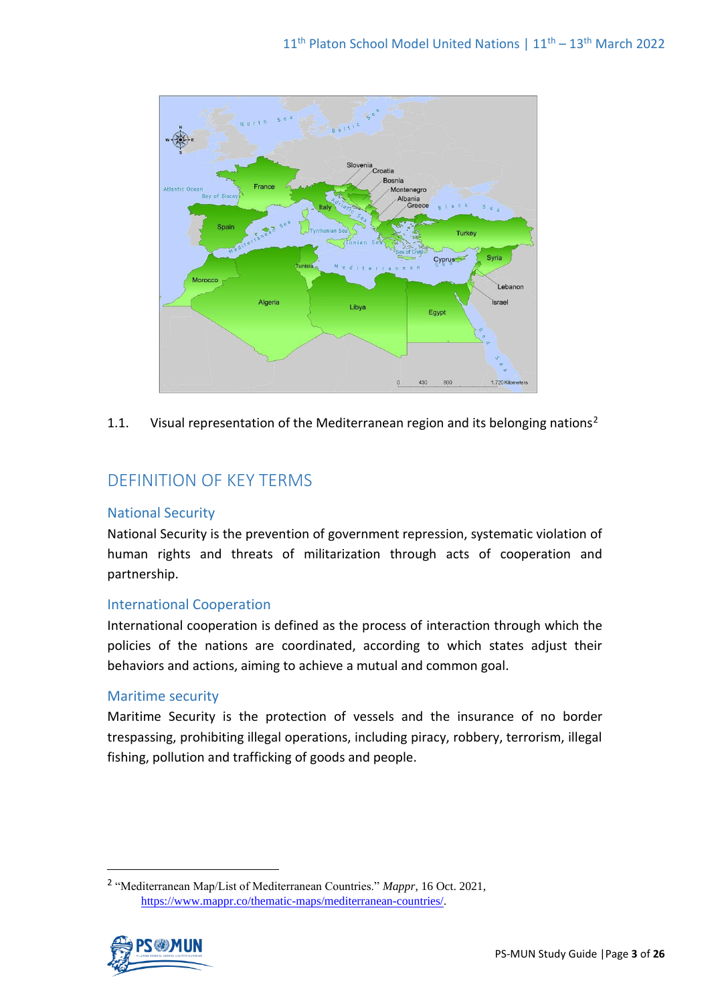

1.1. Visual representation of the Mediterranean region and its belonging nations<sup>2</sup>

# DEFINITION OF KEY TERMS

# National Security

National Security is the prevention of government repression, systematic violation of human rights and threats of militarization through acts of cooperation and partnership.

## International Cooperation

International cooperation is defined as the process of interaction through which the policies of the nations are coordinated, according to which states adjust their behaviors and actions, aiming to achieve a mutual and common goal.

## Maritime security

Maritime Security is the protection of vessels and the insurance of no border trespassing, prohibiting illegal operations, including piracy, robbery, terrorism, illegal fishing, pollution and trafficking of goods and people.

<sup>2</sup> "Mediterranean Map/List of Mediterranean Countries." *Mappr*, 16 Oct. 2021, [https://www.mappr.co/thematic-maps/mediterranean-countries/.](https://www.mappr.co/thematic-maps/mediterranean-countries/)

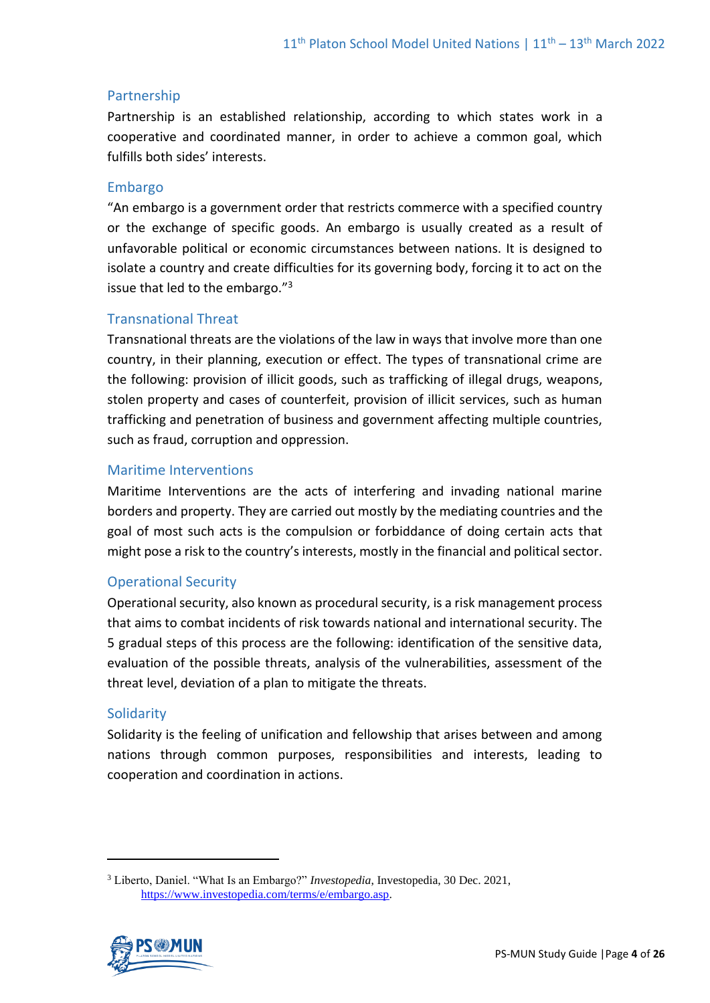# Partnership

Partnership is an established relationship, according to which states work in a cooperative and coordinated manner, in order to achieve a common goal, which fulfills both sides' interests.

## Embargo

"An embargo is a government order that restricts commerce with a specified country or the exchange of specific goods. An embargo is usually created as a result of unfavorable political or economic circumstances between nations. It is designed to isolate a country and create difficulties for its governing body, forcing it to act on the issue that led to the embargo."<sup>3</sup>

## Transnational Threat

Transnational threats are the violations of the law in ways that involve more than one country, in their planning, execution or effect. The types of transnational crime are the following: provision of illicit goods, such as trafficking of illegal drugs, weapons, stolen property and cases of counterfeit, provision of illicit services, such as human trafficking and penetration of business and government affecting multiple countries, such as fraud, corruption and oppression.

# Maritime Interventions

Maritime Interventions are the acts of interfering and invading national marine borders and property. They are carried out mostly by the mediating countries and the goal of most such acts is the compulsion or forbiddance of doing certain acts that might pose a risk to the country's interests, mostly in the financial and political sector.

# Operational Security

Operational security, also known as procedural security, is a risk management process that aims to combat incidents of risk towards national and international security. The 5 gradual steps of this process are the following: identification of the sensitive data, evaluation of the possible threats, analysis of the vulnerabilities, assessment of the threat level, deviation of a plan to mitigate the threats.

## **Solidarity**

Solidarity is the feeling of unification and fellowship that arises between and among nations through common purposes, responsibilities and interests, leading to cooperation and coordination in actions.

<sup>3</sup> Liberto, Daniel. "What Is an Embargo?" *Investopedia*, Investopedia, 30 Dec. 2021, [https://www.investopedia.com/terms/e/embargo.asp.](https://www.investopedia.com/terms/e/embargo.asp) 

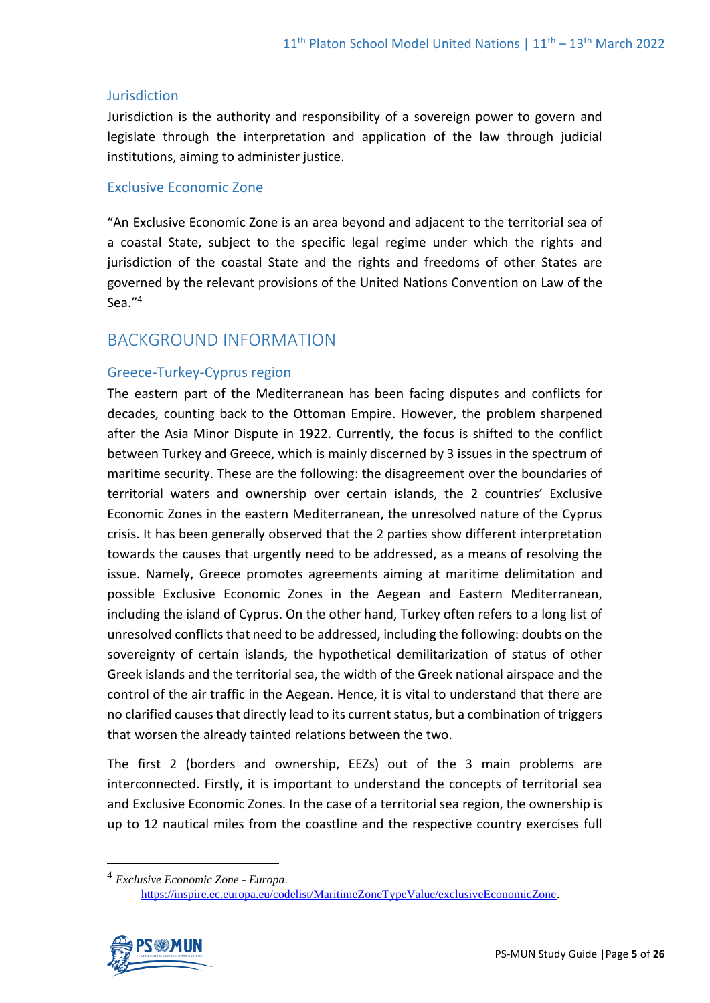#### **Jurisdiction**

Jurisdiction is the authority and responsibility of a sovereign power to govern and legislate through the interpretation and application of the law through judicial institutions, aiming to administer justice.

## Exclusive Economic Zone

"An Exclusive Economic Zone is an area beyond and adjacent to the territorial sea of a coastal State, subject to the specific legal regime under which the rights and jurisdiction of the coastal State and the rights and freedoms of other States are governed by the relevant provisions of the United Nations Convention on Law of the Sea." 4

# BACKGROUND INFORMATION

# Greece-Turkey-Cyprus region

The eastern part of the Mediterranean has been facing disputes and conflicts for decades, counting back to the Ottoman Empire. However, the problem sharpened after the Asia Minor Dispute in 1922. Currently, the focus is shifted to the conflict between Turkey and Greece, which is mainly discerned by 3 issues in the spectrum of maritime security. These are the following: the disagreement over the boundaries of territorial waters and ownership over certain islands, the 2 countries' Exclusive Economic Zones in the eastern Mediterranean, the unresolved nature of the Cyprus crisis. It has been generally observed that the 2 parties show different interpretation towards the causes that urgently need to be addressed, as a means of resolving the issue. Namely, Greece promotes agreements aiming at maritime delimitation and possible Exclusive Economic Zones in the Aegean and Eastern Mediterranean, including the island of Cyprus. On the other hand, Turkey often refers to a long list of unresolved conflicts that need to be addressed, including the following: doubts on the sovereignty of certain islands, the hypothetical demilitarization of status of other Greek islands and the territorial sea, the width of the Greek national airspace and the control of the air traffic in the Aegean. Hence, it is vital to understand that there are no clarified causes that directly lead to its current status, but a combination of triggers that worsen the already tainted relations between the two.

The first 2 (borders and ownership, EEZs) out of the 3 main problems are interconnected. Firstly, it is important to understand the concepts of territorial sea and Exclusive Economic Zones. In the case of a territorial sea region, the ownership is up to 12 nautical miles from the coastline and the respective country exercises full

[https://inspire.ec.europa.eu/codelist/MaritimeZoneTypeValue/exclusiveEconomicZone.](https://inspire.ec.europa.eu/codelist/MaritimeZoneTypeValue/exclusiveEconomicZone)



<sup>4</sup> *Exclusive Economic Zone - Europa*.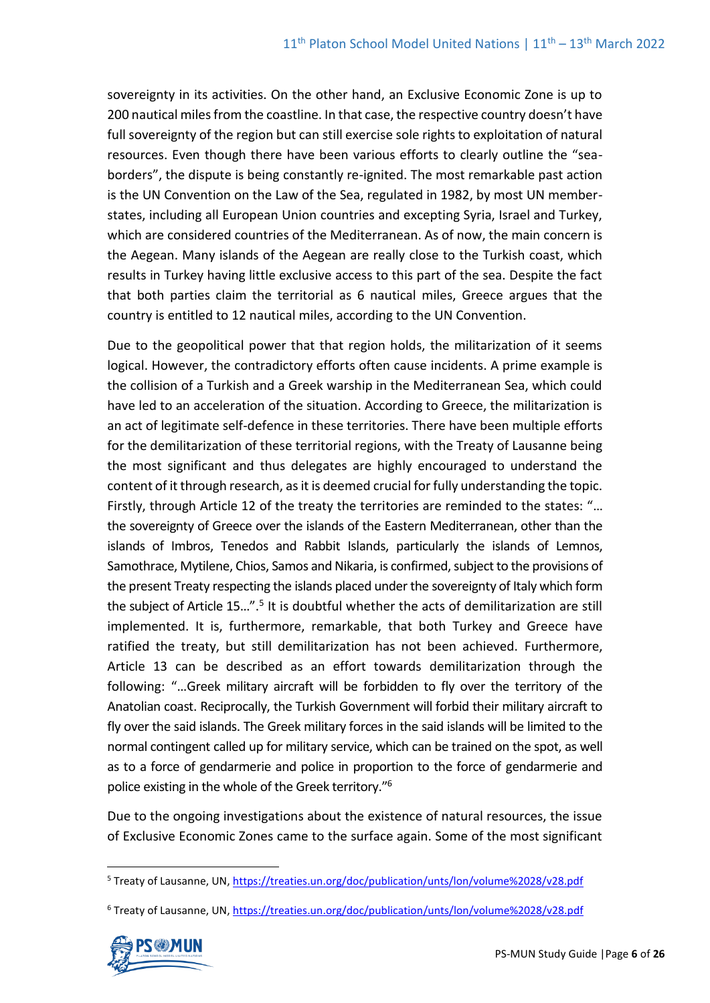sovereignty in its activities. On the other hand, an Exclusive Economic Zone is up to 200 nautical miles from the coastline. In that case, the respective country doesn't have full sovereignty of the region but can still exercise sole rights to exploitation of natural resources. Even though there have been various efforts to clearly outline the "seaborders", the dispute is being constantly re-ignited. The most remarkable past action is the UN Convention on the Law of the Sea, regulated in 1982, by most UN memberstates, including all European Union countries and excepting Syria, Israel and Turkey, which are considered countries of the Mediterranean. As of now, the main concern is the Aegean. Many islands of the Aegean are really close to the Turkish coast, which results in Turkey having little exclusive access to this part of the sea. Despite the fact that both parties claim the territorial as 6 nautical miles, Greece argues that the country is entitled to 12 nautical miles, according to the UN Convention.

Due to the geopolitical power that that region holds, the militarization of it seems logical. However, the contradictory efforts often cause incidents. A prime example is the collision of a Turkish and a Greek warship in the Mediterranean Sea, which could have led to an acceleration of the situation. According to Greece, the militarization is an act of legitimate self-defence in these territories. There have been multiple efforts for the demilitarization of these territorial regions, with the Treaty of Lausanne being the most significant and thus delegates are highly encouraged to understand the content of it through research, as it is deemed crucial for fully understanding the topic. Firstly, through Article 12 of the treaty the territories are reminded to the states: "… the sovereignty of Greece over the islands of the Eastern Mediterranean, other than the islands of Imbros, Tenedos and Rabbit Islands, particularly the islands of Lemnos, Samothrace, Mytilene, Chios, Samos and Nikaria, is confirmed, subject to the provisions of the present Treaty respecting the islands placed under the sovereignty of Italy which form the subject of Article 15...".<sup>5</sup> It is doubtful whether the acts of demilitarization are still implemented. It is, furthermore, remarkable, that both Turkey and Greece have ratified the treaty, but still demilitarization has not been achieved. Furthermore, Article 13 can be described as an effort towards demilitarization through the following: "…Greek military aircraft will be forbidden to fly over the territory of the Anatolian coast. Reciprocally, the Turkish Government will forbid their military aircraft to fly over the said islands. The Greek military forces in the said islands will be limited to the normal contingent called up for military service, which can be trained on the spot, as well as to a force of gendarmerie and police in proportion to the force of gendarmerie and police existing in the whole of the Greek territory." 6

Due to the ongoing investigations about the existence of natural resources, the issue of Exclusive Economic Zones came to the surface again. Some of the most significant

<sup>6</sup> Treaty of Lausanne, UN,<https://treaties.un.org/doc/publication/unts/lon/volume%2028/v28.pdf>



<sup>5</sup> Treaty of Lausanne, UN,<https://treaties.un.org/doc/publication/unts/lon/volume%2028/v28.pdf>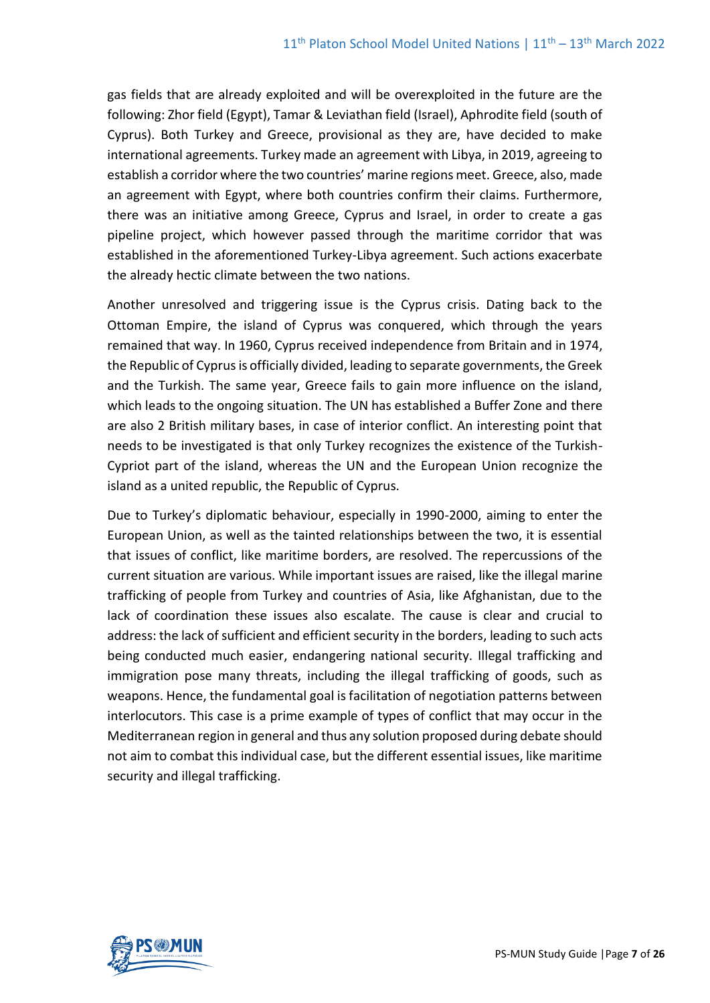gas fields that are already exploited and will be overexploited in the future are the following: Zhor field (Egypt), Tamar & Leviathan field (Israel), Aphrodite field (south of Cyprus). Both Turkey and Greece, provisional as they are, have decided to make international agreements. Turkey made an agreement with Libya, in 2019, agreeing to establish a corridor where the two countries' marine regions meet. Greece, also, made an agreement with Egypt, where both countries confirm their claims. Furthermore, there was an initiative among Greece, Cyprus and Israel, in order to create a gas pipeline project, which however passed through the maritime corridor that was established in the aforementioned Turkey-Libya agreement. Such actions exacerbate the already hectic climate between the two nations.

Another unresolved and triggering issue is the Cyprus crisis. Dating back to the Ottoman Empire, the island of Cyprus was conquered, which through the years remained that way. In 1960, Cyprus received independence from Britain and in 1974, the Republic of Cyprus is officially divided, leading to separate governments, the Greek and the Turkish. The same year, Greece fails to gain more influence on the island, which leads to the ongoing situation. The UN has established a Buffer Zone and there are also 2 British military bases, in case of interior conflict. An interesting point that needs to be investigated is that only Turkey recognizes the existence of the Turkish-Cypriot part of the island, whereas the UN and the European Union recognize the island as a united republic, the Republic of Cyprus.

Due to Turkey's diplomatic behaviour, especially in 1990-2000, aiming to enter the European Union, as well as the tainted relationships between the two, it is essential that issues of conflict, like maritime borders, are resolved. The repercussions of the current situation are various. While important issues are raised, like the illegal marine trafficking of people from Turkey and countries of Asia, like Afghanistan, due to the lack of coordination these issues also escalate. The cause is clear and crucial to address: the lack of sufficient and efficient security in the borders, leading to such acts being conducted much easier, endangering national security. Illegal trafficking and immigration pose many threats, including the illegal trafficking of goods, such as weapons. Hence, the fundamental goal is facilitation of negotiation patterns between interlocutors. This case is a prime example of types of conflict that may occur in the Mediterranean region in general and thus any solution proposed during debate should not aim to combat this individual case, but the different essential issues, like maritime security and illegal trafficking.

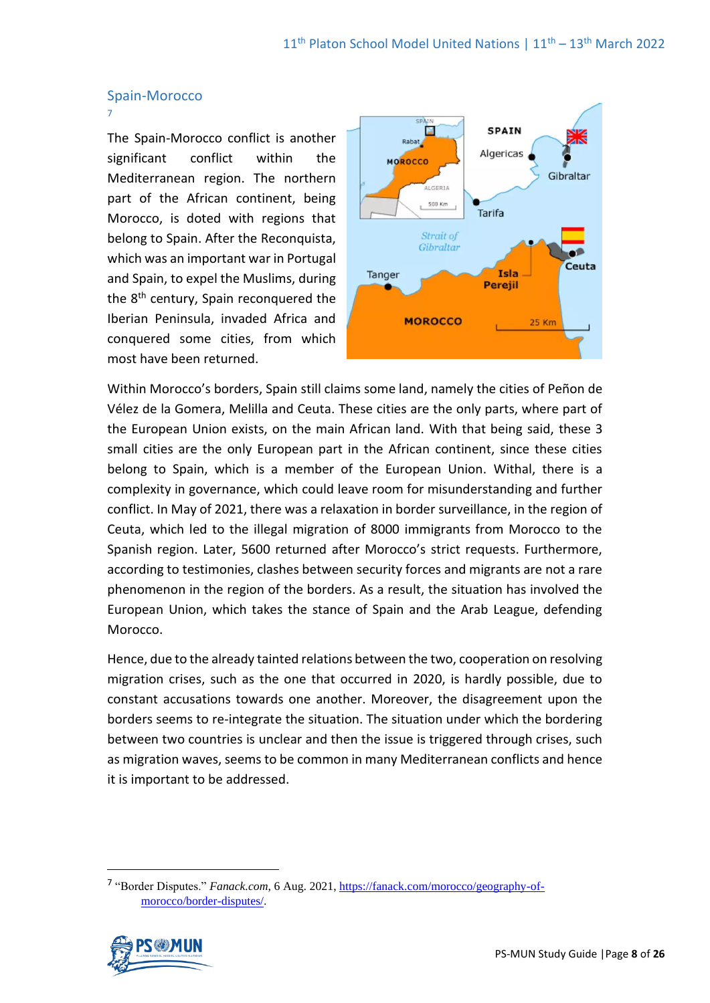#### Spain-Morocco

7

The Spain-Morocco conflict is another significant conflict within the Mediterranean region. The northern part of the African continent, being Morocco, is doted with regions that belong to Spain. After the Reconquista, which was an important war in Portugal and Spain, to expel the Muslims, during the 8<sup>th</sup> century, Spain reconquered the Iberian Peninsula, invaded Africa and conquered some cities, from which most have been returned[.](https://en.wikipedia.org/wiki/Pe%C3%B1%C3%B3n_de_V%C3%A9lez_de_la_Gomera) 



Within Morocco's borders, Spain still claims some land, namely the cities of Peñon de Vélez de la Gomera, Melilla and Ceuta. These cities are the only parts, where part of the European Union exists, on the main African land. With that being said, these 3 small cities are the only European part in the African continent, since these cities belong to Spain, which is a member of the European Union. Withal, there is a complexity in governance, which could leave room for misunderstanding and further conflict. In May of 2021, there was a relaxation in border surveillance, in the region of Ceuta, which led to the illegal migration of 8000 immigrants from Morocco to the Spanish region. Later, 5600 returned after Morocco's strict requests. Furthermore, according to testimonies, clashes between security forces and migrants are not a rare phenomenon in the region of the borders. As a result, the situation has involved the European Union, which takes the stance of Spain and the Arab League, defending Morocco.

Hence, due to the already tainted relations between the two, cooperation on resolving migration crises, such as the one that occurred in 2020, is hardly possible, due to constant accusations towards one another. Moreover, the disagreement upon the borders seems to re-integrate the situation. The situation under which the bordering between two countries is unclear and then the issue is triggered through crises, such as migration waves, seems to be common in many Mediterranean conflicts and hence it is important to be addressed.

<sup>&</sup>lt;sup>7</sup> "Border Disputes." *Fanack.com*, 6 Aug. 2021[, https://fanack.com/morocco/geography-of](https://fanack.com/morocco/geography-of-morocco/border-disputes/)[morocco/border-disputes/.](https://fanack.com/morocco/geography-of-morocco/border-disputes/)

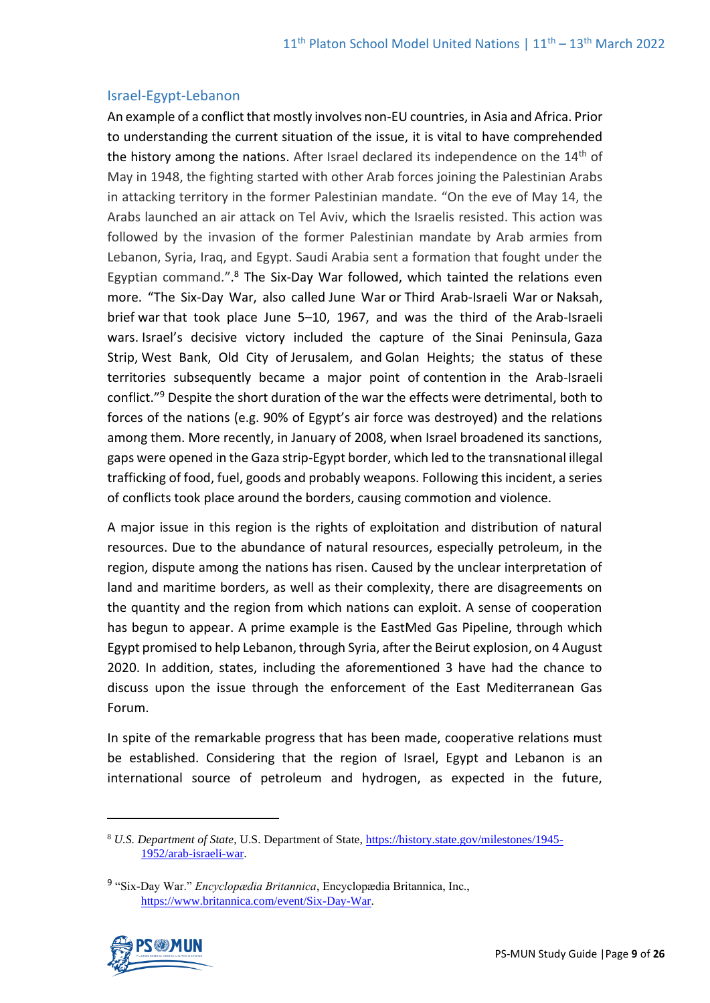#### Israel-Egypt-Lebanon

An example of a conflict that mostly involves non-EU countries, in Asia and Africa. Prior to understanding the current situation of the issue, it is vital to have comprehended the history among the nations. After Israel declared its independence on the 14<sup>th</sup> of May in 1948, the fighting started with other Arab forces joining the Palestinian Arabs in attacking territory in the former Palestinian mandate. "On the eve of May 14, the Arabs launched an air attack on Tel Aviv, which the Israelis resisted. This action was followed by the invasion of the former Palestinian mandate by Arab armies from Lebanon, Syria, Iraq, and Egypt. Saudi Arabia sent a formation that fought under the Egyptian command.".<sup>8</sup> The Six-Day War followed, which tainted the relations even more. "The Six-Day War, also called June War or Third Arab-Israeli War or Naksah, brief [war](https://www.britannica.com/topic/war) that took place June 5–10, 1967, and was the third of the [Arab-Israeli](https://www.britannica.com/event/Arab-Israeli-wars)  [wars.](https://www.britannica.com/event/Arab-Israeli-wars) [Israel](https://www.britannica.com/place/Israel)'s decisive victory included the capture of the [Sinai Peninsula,](https://www.britannica.com/place/Sinai-Peninsula) [Gaza](https://www.britannica.com/place/Gaza-Strip)  [Strip,](https://www.britannica.com/place/Gaza-Strip) [West Bank,](https://www.britannica.com/place/West-Bank) Old City of [Jerusalem,](https://www.britannica.com/place/Jerusalem) and [Golan Heights;](https://www.britannica.com/place/Golan-Heights) the status of these territories subsequently became a major point of [contention](https://www.merriam-webster.com/dictionary/contention) in the Arab-Israeli conflict." <sup>9</sup> Despite the short duration of the war the effects were detrimental, both to forces of the nations (e.g. 90% of Egypt's air force was destroyed) and the relations among them. More recently, in January of 2008, when Israel broadened its sanctions, gaps were opened in the Gaza strip-Egypt border, which led to the transnational illegal trafficking of food, fuel, goods and probably weapons. Following this incident, a series of conflicts took place around the borders, causing commotion and violence.

A major issue in this region is the rights of exploitation and distribution of natural resources. Due to the abundance of natural resources, especially petroleum, in the region, dispute among the nations has risen. Caused by the unclear interpretation of land and maritime borders, as well as their complexity, there are disagreements on the quantity and the region from which nations can exploit. A sense of cooperation has begun to appear. A prime example is the EastMed Gas Pipeline, through which Egypt promised to help Lebanon, through Syria, after the Beirut explosion, on 4 August 2020. In addition, states, including the aforementioned 3 have had the chance to discuss upon the issue through the enforcement of the East Mediterranean Gas Forum.

In spite of the remarkable progress that has been made, cooperative relations must be established. Considering that the region of Israel, Egypt and Lebanon is an international source of petroleum and hydrogen, as expected in the future,

<sup>9</sup> "Six-Day War." *Encyclopædia Britannica*, Encyclopædia Britannica, Inc., [https://www.britannica.com/event/Six-Day-War.](https://www.britannica.com/event/Six-Day-War)



<sup>8</sup> *U.S. Department of State*, U.S. Department of State, [https://history.state.gov/milestones/1945-](https://history.state.gov/milestones/1945-1952/arab-israeli-war) [1952/arab-israeli-war.](https://history.state.gov/milestones/1945-1952/arab-israeli-war)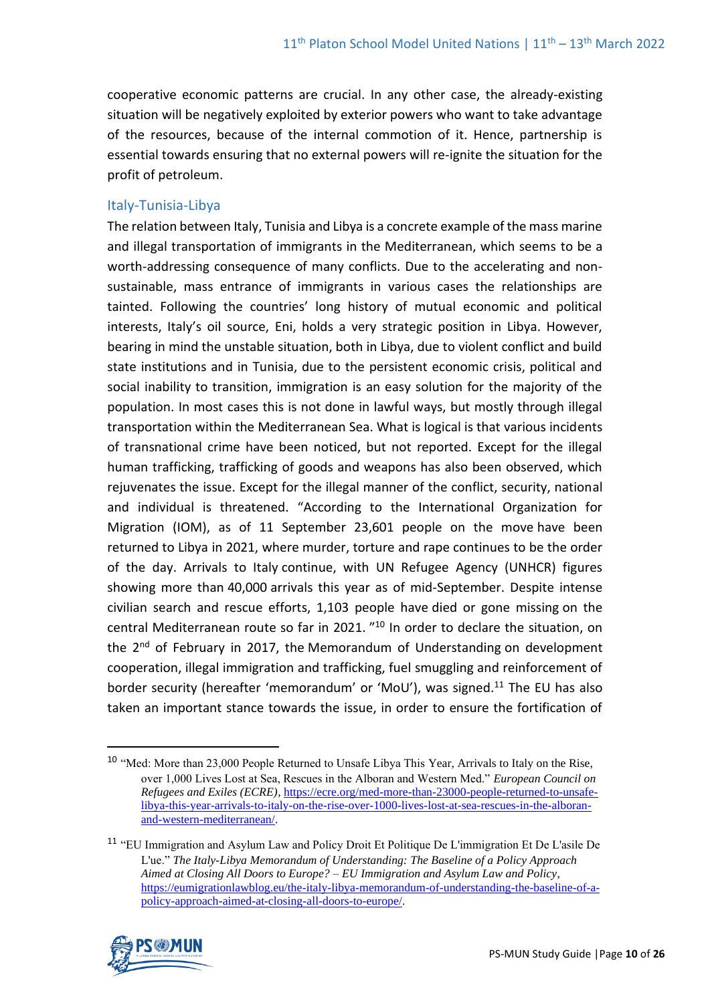cooperative economic patterns are crucial. In any other case, the already-existing situation will be negatively exploited by exterior powers who want to take advantage of the resources, because of the internal commotion of it. Hence, partnership is essential towards ensuring that no external powers will re-ignite the situation for the profit of petroleum.

# Italy-Tunisia-Libya

The relation between Italy, Tunisia and Libya is a concrete example of the mass marine and illegal transportation of immigrants in the Mediterranean, which seems to be a worth-addressing consequence of many conflicts. Due to the accelerating and nonsustainable, mass entrance of immigrants in various cases the relationships are tainted. Following the countries' long history of mutual economic and political interests, Italy's oil source, Eni, holds a very strategic position in Libya. However, bearing in mind the unstable situation, both in Libya, due to violent conflict and build state institutions and in Tunisia, due to the persistent economic crisis, political and social inability to transition, immigration is an easy solution for the majority of the population. In most cases this is not done in lawful ways, but mostly through illegal transportation within the Mediterranean Sea. What is logical is that various incidents of transnational crime have been noticed, but not reported. Except for the illegal human trafficking, trafficking of goods and weapons has also been observed, which rejuvenates the issue. Except for the illegal manner of the conflict, security, national and individual is threatened. "According to the International Organization for Migration (IOM), as of 11 September 23,601 people on the move [have been](https://twitter.com/IOM_Libya/status/1437419820442599428/photo/1)  [returned](https://twitter.com/IOM_Libya/status/1437419820442599428/photo/1) to Libya in 2021, where [murder,](https://www.infomigrants.net/fr/post/35032/libye--deux-trafiquants-accuses-notamment-de-maltraitance-sur-des-migrants-arretes) torture and [rape](https://www.infomigrants.net/fr/post/32891/libye--dans-une-prison-de-tripoli-des-migrantes-victimes-dagressions-sexuelles-tentent-de-suicider) continues to be the order of the day. Arrivals to Italy [continue,](https://www.thenationalnews.com/world/europe/2021/09/14/mediterranean-migrant-crossings-to-italy-double-in-a-year/) with UN Refugee Agency (UNHCR) figures showing more than [40,000](https://data2.unhcr.org/en/situations/mediterranean/location/5205) arrivals this year as of mid-September. Despite intense civilian search and rescue efforts, 1,103 people have [died or gone missing](https://twitter.com/IOM_Libya/status/1437419820442599428/photo/1) on the central Mediterranean route so far in 2021. "<sup>10</sup> In order to declare the situation, on the 2<sup>nd</sup> of February in 2017, the [Memorandum of Understanding](http://itra.esteri.it/vwPdf/wfrmRenderPdf.aspx?ID=50975) on development cooperation, illegal immigration and trafficking, fuel smuggling and reinforcement of border security (hereafter 'memorandum' or 'MoU'), was signed.<sup>11</sup> The EU has also taken an important stance towards the issue, in order to ensure the fortification of

<sup>11</sup> "EU Immigration and Asylum Law and Policy Droit Et Politique De L'immigration Et De L'asile De L'ue." *The Italy-Libya Memorandum of Understanding: The Baseline of a Policy Approach Aimed at Closing All Doors to Europe? – EU Immigration and Asylum Law and Policy*, [https://eumigrationlawblog.eu/the-italy-libya-memorandum-of-understanding-the-baseline-of-a](https://eumigrationlawblog.eu/the-italy-libya-memorandum-of-understanding-the-baseline-of-a-policy-approach-aimed-at-closing-all-doors-to-europe/)[policy-approach-aimed-at-closing-all-doors-to-europe/.](https://eumigrationlawblog.eu/the-italy-libya-memorandum-of-understanding-the-baseline-of-a-policy-approach-aimed-at-closing-all-doors-to-europe/)



<sup>10</sup> "Med: More than 23,000 People Returned to Unsafe Libya This Year, Arrivals to Italy on the Rise, over 1,000 Lives Lost at Sea, Rescues in the Alboran and Western Med." *European Council on Refugees and Exiles (ECRE)*, [https://ecre.org/med-more-than-23000-people-returned-to-unsafe](https://ecre.org/med-more-than-23000-people-returned-to-unsafe-libya-this-year-arrivals-to-italy-on-the-rise-over-1000-lives-lost-at-sea-rescues-in-the-alboran-and-western-mediterranean/)[libya-this-year-arrivals-to-italy-on-the-rise-over-1000-lives-lost-at-sea-rescues-in-the-alboran](https://ecre.org/med-more-than-23000-people-returned-to-unsafe-libya-this-year-arrivals-to-italy-on-the-rise-over-1000-lives-lost-at-sea-rescues-in-the-alboran-and-western-mediterranean/)[and-western-mediterranean/.](https://ecre.org/med-more-than-23000-people-returned-to-unsafe-libya-this-year-arrivals-to-italy-on-the-rise-over-1000-lives-lost-at-sea-rescues-in-the-alboran-and-western-mediterranean/)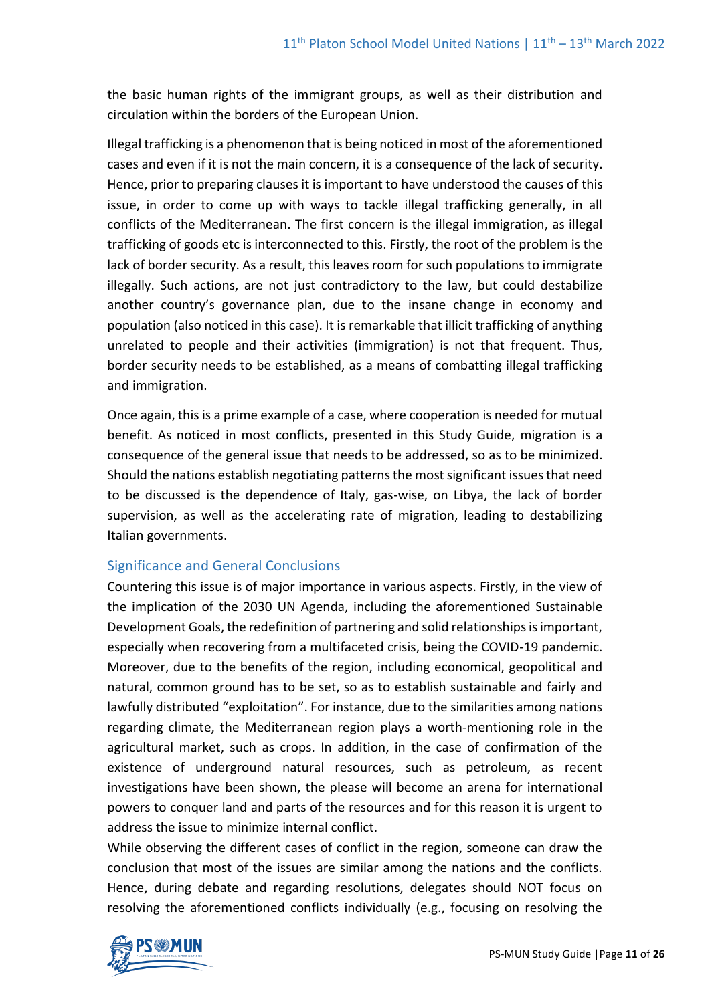the basic human rights of the immigrant groups, as well as their distribution and circulation within the borders of the European Union.

Illegal trafficking is a phenomenon that is being noticed in most of the aforementioned cases and even if it is not the main concern, it is a consequence of the lack of security. Hence, prior to preparing clauses it is important to have understood the causes of this issue, in order to come up with ways to tackle illegal trafficking generally, in all conflicts of the Mediterranean. The first concern is the illegal immigration, as illegal trafficking of goods etc is interconnected to this. Firstly, the root of the problem is the lack of border security. As a result, this leaves room for such populations to immigrate illegally. Such actions, are not just contradictory to the law, but could destabilize another country's governance plan, due to the insane change in economy and population (also noticed in this case). It is remarkable that illicit trafficking of anything unrelated to people and their activities (immigration) is not that frequent. Thus, border security needs to be established, as a means of combatting illegal trafficking and immigration.

Once again, this is a prime example of a case, where cooperation is needed for mutual benefit. As noticed in most conflicts, presented in this Study Guide, migration is a consequence of the general issue that needs to be addressed, so as to be minimized. Should the nations establish negotiating patterns the most significant issues that need to be discussed is the dependence of Italy, gas-wise, on Libya, the lack of border supervision, as well as the accelerating rate of migration, leading to destabilizing Italian governments.

## Significance and General Conclusions

Countering this issue is of major importance in various aspects. Firstly, in the view of the implication of the 2030 UN Agenda, including the aforementioned Sustainable Development Goals, the redefinition of partnering and solid relationships is important, especially when recovering from a multifaceted crisis, being the COVID-19 pandemic. Moreover, due to the benefits of the region, including economical, geopolitical and natural, common ground has to be set, so as to establish sustainable and fairly and lawfully distributed "exploitation". For instance, due to the similarities among nations regarding climate, the Mediterranean region plays a worth-mentioning role in the agricultural market, such as crops. In addition, in the case of confirmation of the existence of underground natural resources, such as petroleum, as recent investigations have been shown, the please will become an arena for international powers to conquer land and parts of the resources and for this reason it is urgent to address the issue to minimize internal conflict.

While observing the different cases of conflict in the region, someone can draw the conclusion that most of the issues are similar among the nations and the conflicts. Hence, during debate and regarding resolutions, delegates should NOT focus on resolving the aforementioned conflicts individually (e.g., focusing on resolving the

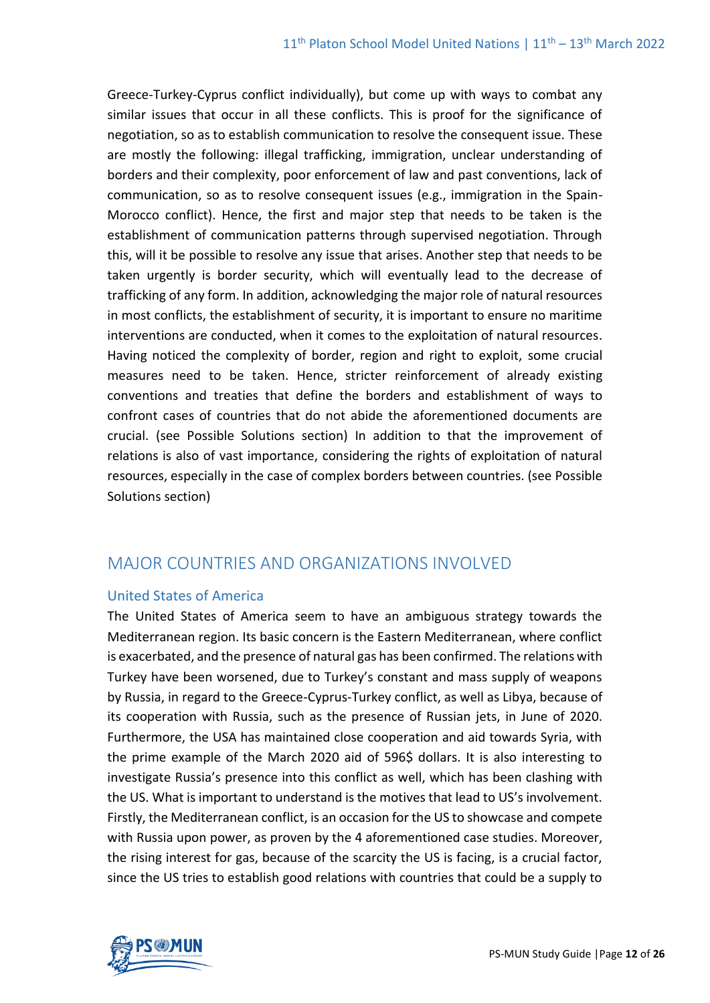Greece-Turkey-Cyprus conflict individually), but come up with ways to combat any similar issues that occur in all these conflicts. This is proof for the significance of negotiation, so as to establish communication to resolve the consequent issue. These are mostly the following: illegal trafficking, immigration, unclear understanding of borders and their complexity, poor enforcement of law and past conventions, lack of communication, so as to resolve consequent issues (e.g., immigration in the Spain-Morocco conflict). Hence, the first and major step that needs to be taken is the establishment of communication patterns through supervised negotiation. Through this, will it be possible to resolve any issue that arises. Another step that needs to be taken urgently is border security, which will eventually lead to the decrease of trafficking of any form. In addition, acknowledging the major role of natural resources in most conflicts, the establishment of security, it is important to ensure no maritime interventions are conducted, when it comes to the exploitation of natural resources. Having noticed the complexity of border, region and right to exploit, some crucial measures need to be taken. Hence, stricter reinforcement of already existing conventions and treaties that define the borders and establishment of ways to confront cases of countries that do not abide the aforementioned documents are crucial. (see Possible Solutions section) In addition to that the improvement of relations is also of vast importance, considering the rights of exploitation of natural resources, especially in the case of complex borders between countries. (see Possible Solutions section)

# MAJOR COUNTRIES AND ORGANIZATIONS INVOLVED

## United States of America

The United States of America seem to have an ambiguous strategy towards the Mediterranean region. Its basic concern is the Eastern Mediterranean, where conflict is exacerbated, and the presence of natural gas has been confirmed. The relations with Turkey have been worsened, due to Turkey's constant and mass supply of weapons by Russia, in regard to the Greece-Cyprus-Turkey conflict, as well as Libya, because of its cooperation with Russia, such as the presence of Russian jets, in June of 2020. Furthermore, the USA has maintained close cooperation and aid towards Syria, with the prime example of the March 2020 aid of 596\$ dollars. It is also interesting to investigate Russia's presence into this conflict as well, which has been clashing with the US. What is important to understand is the motives that lead to US's involvement. Firstly, the Mediterranean conflict, is an occasion for the US to showcase and compete with Russia upon power, as proven by the 4 aforementioned case studies. Moreover, the rising interest for gas, because of the scarcity the US is facing, is a crucial factor, since the US tries to establish good relations with countries that could be a supply to

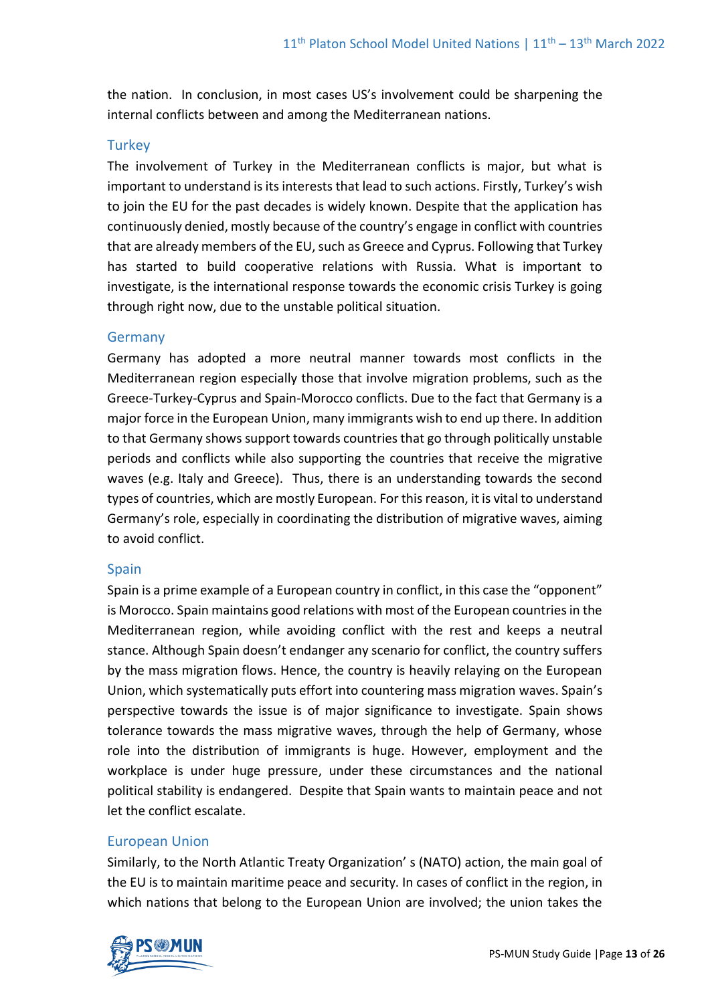the nation. In conclusion, in most cases US's involvement could be sharpening the internal conflicts between and among the Mediterranean nations.

# **Turkey**

The involvement of Turkey in the Mediterranean conflicts is major, but what is important to understand is its interests that lead to such actions. Firstly, Turkey's wish to join the EU for the past decades is widely known. Despite that the application has continuously denied, mostly because of the country's engage in conflict with countries that are already members of the EU, such as Greece and Cyprus. Following that Turkey has started to build cooperative relations with Russia. What is important to investigate, is the international response towards the economic crisis Turkey is going through right now, due to the unstable political situation.

## Germany

Germany has adopted a more neutral manner towards most conflicts in the Mediterranean region especially those that involve migration problems, such as the Greece-Turkey-Cyprus and Spain-Morocco conflicts. Due to the fact that Germany is a major force in the European Union, many immigrants wish to end up there. In addition to that Germany shows support towards countries that go through politically unstable periods and conflicts while also supporting the countries that receive the migrative waves (e.g. Italy and Greece). Thus, there is an understanding towards the second types of countries, which are mostly European. For this reason, it is vital to understand Germany's role, especially in coordinating the distribution of migrative waves, aiming to avoid conflict.

## Spain

Spain is a prime example of a European country in conflict, in this case the "opponent" is Morocco. Spain maintains good relations with most of the European countries in the Mediterranean region, while avoiding conflict with the rest and keeps a neutral stance. Although Spain doesn't endanger any scenario for conflict, the country suffers by the mass migration flows. Hence, the country is heavily relaying on the European Union, which systematically puts effort into countering mass migration waves. Spain's perspective towards the issue is of major significance to investigate. Spain shows tolerance towards the mass migrative waves, through the help of Germany, whose role into the distribution of immigrants is huge. However, employment and the workplace is under huge pressure, under these circumstances and the national political stability is endangered. Despite that Spain wants to maintain peace and not let the conflict escalate.

# European Union

Similarly, to the North Atlantic Treaty Organization' s (NATO) action, the main goal of the EU is to maintain maritime peace and security. In cases of conflict in the region, in which nations that belong to the European Union are involved; the union takes the

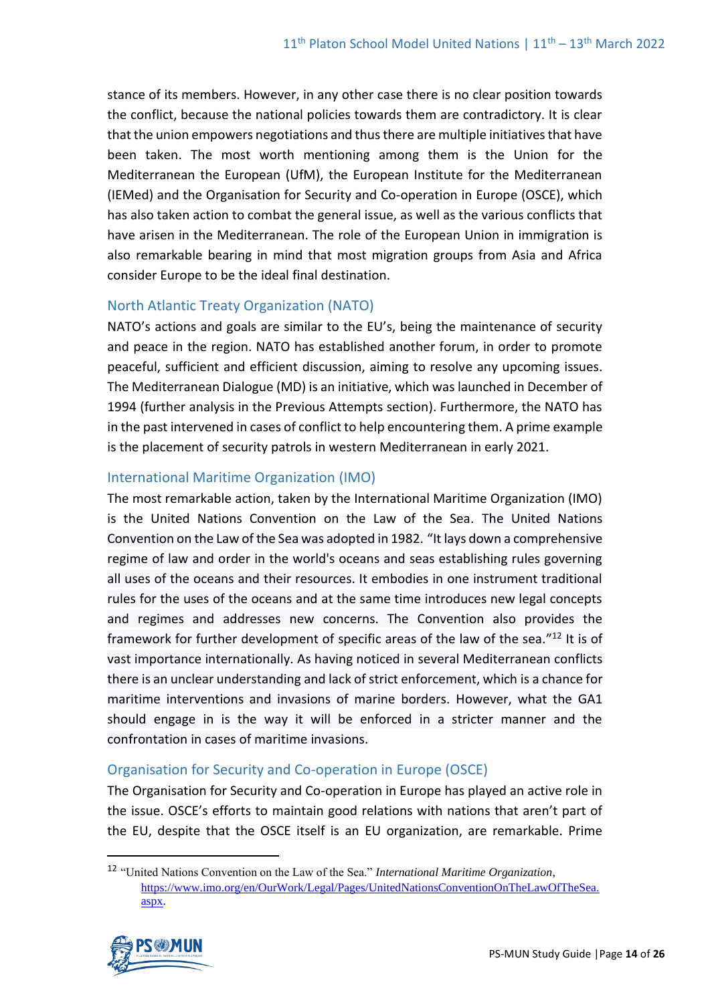stance of its members. However, in any other case there is no clear position towards the conflict, because the national policies towards them are contradictory. It is clear that the union empowers negotiations and thus there are multiple initiatives that have been taken. The most worth mentioning among them is the Union for the Mediterranean the European (UfM), the European Institute for the Mediterranean (IEMed) and the Organisation for Security and Co-operation in Europe (OSCE), which has also taken action to combat the general issue, as well as the various conflicts that have arisen in the Mediterranean. The role of the European Union in immigration is also remarkable bearing in mind that most migration groups from Asia and Africa consider Europe to be the ideal final destination.

## North Atlantic Treaty Organization (NATO)

NATO's actions and goals are similar to the EU's, being the maintenance of security and peace in the region. NATO has established another forum, in order to promote peaceful, sufficient and efficient discussion, aiming to resolve any upcoming issues. The Mediterranean Dialogue (MD) is an initiative, which was launched in December of 1994 (further analysis in the Previous Attempts section). Furthermore, the NATO has in the past intervened in cases of conflict to help encountering them. A prime example is the placement of security patrols in western Mediterranean in early 2021.

# International Maritime Organization (IMO)

The most remarkable action, taken by the International Maritime Organization (IMO) is the United Nations Convention on the Law of the Sea. The United Nations Convention on the Law of the Sea was adopted in 1982. "It lays down a comprehensive regime of law and order in the world's oceans and seas establishing rules governing all uses of the oceans and their resources. It embodies in one instrument traditional rules for the uses of the oceans and at the same time introduces new legal concepts and regimes and addresses new concerns. The Convention also provides the framework for further development of specific areas of the law of the sea."<sup>12</sup> It is of vast importance internationally. As having noticed in several Mediterranean conflicts there is an unclear understanding and lack of strict enforcement, which is a chance for maritime interventions and invasions of marine borders. However, what the GA1 should engage in is the way it will be enforced in a stricter manner and the confrontation in cases of maritime invasions.

# Organisation for Security and Co-operation in Europe (OSCE)

The Organisation for Security and Co-operation in Europe has played an active role in the issue. OSCE's efforts to maintain good relations with nations that aren't part of the EU, despite that the OSCE itself is an EU organization, are remarkable. Prime

<sup>12</sup> "United Nations Convention on the Law of the Sea." *International Maritime Organization*, [https://www.imo.org/en/OurWork/Legal/Pages/UnitedNationsConventionOnTheLawOfTheSea.](https://www.imo.org/en/OurWork/Legal/Pages/UnitedNationsConventionOnTheLawOfTheSea.aspx) [aspx.](https://www.imo.org/en/OurWork/Legal/Pages/UnitedNationsConventionOnTheLawOfTheSea.aspx)

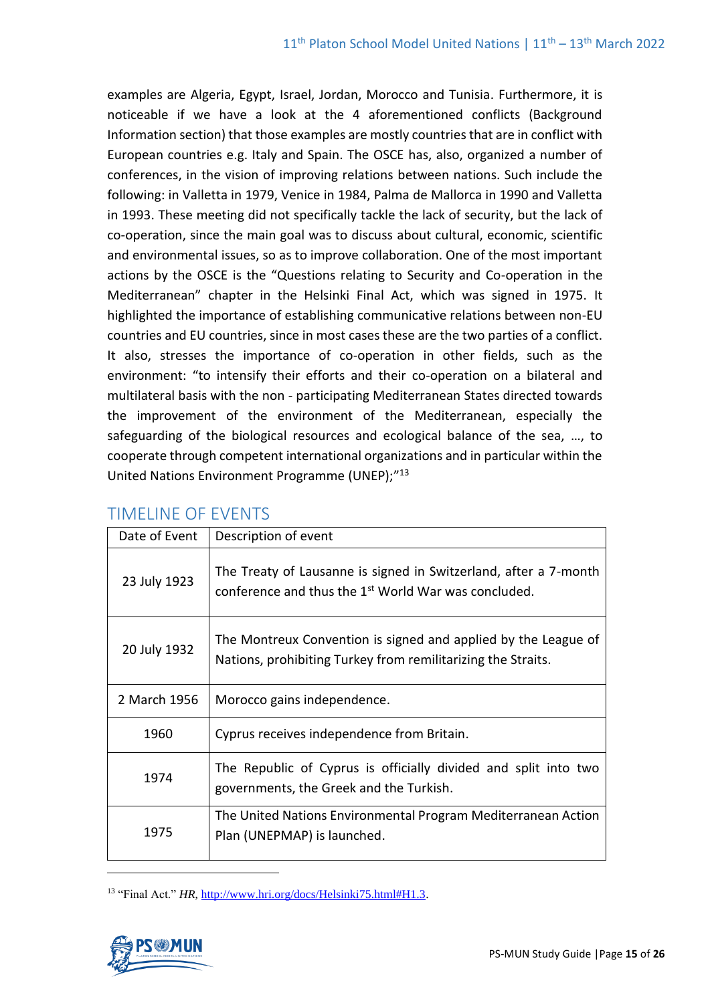examples are Algeria, Egypt, Israel, Jordan, Morocco and Tunisia. Furthermore, it is noticeable if we have a look at the 4 aforementioned conflicts (Background Information section) that those examples are mostly countries that are in conflict with European countries e.g. Italy and Spain. The OSCE has, also, organized a number of conferences, in the vision of improving relations between nations. Such include the following: in Valletta in 1979, Venice in 1984, Palma de Mallorca in 1990 and Valletta in 1993. These meeting did not specifically tackle the lack of security, but the lack of co-operation, since the main goal was to discuss about cultural, economic, scientific and environmental issues, so as to improve collaboration. One of the most important actions by the OSCE is the "Questions relating to Security and Co-operation in the Mediterranean" chapter in the Helsinki Final Act, which was signed in 1975. It highlighted the importance of establishing communicative relations between non-EU countries and EU countries, since in most cases these are the two parties of a conflict. It also, stresses the importance of co-operation in other fields, such as the environment: "to intensify their efforts and their co-operation on a bilateral and multilateral basis with the non - participating Mediterranean States directed towards the improvement of the environment of the Mediterranean, especially the safeguarding of the biological resources and ecological balance of the sea, …, to cooperate through competent international organizations and in particular within the United Nations Environment Programme (UNEP);"13

| Date of Event | Description of event                                                                                                                 |
|---------------|--------------------------------------------------------------------------------------------------------------------------------------|
| 23 July 1923  | The Treaty of Lausanne is signed in Switzerland, after a 7-month<br>conference and thus the 1 <sup>st</sup> World War was concluded. |
| 20 July 1932  | The Montreux Convention is signed and applied by the League of<br>Nations, prohibiting Turkey from remilitarizing the Straits.       |
| 2 March 1956  | Morocco gains independence.                                                                                                          |
| 1960          | Cyprus receives independence from Britain.                                                                                           |
| 1974          | The Republic of Cyprus is officially divided and split into two<br>governments, the Greek and the Turkish.                           |
| 1975          | The United Nations Environmental Program Mediterranean Action<br>Plan (UNEPMAP) is launched.                                         |

# TIMELINE OF EVENTS

<sup>13</sup> "Final Act." *HR*[, http://www.hri.org/docs/Helsinki75.html#H1.3.](http://www.hri.org/docs/Helsinki75.html#H1.3)

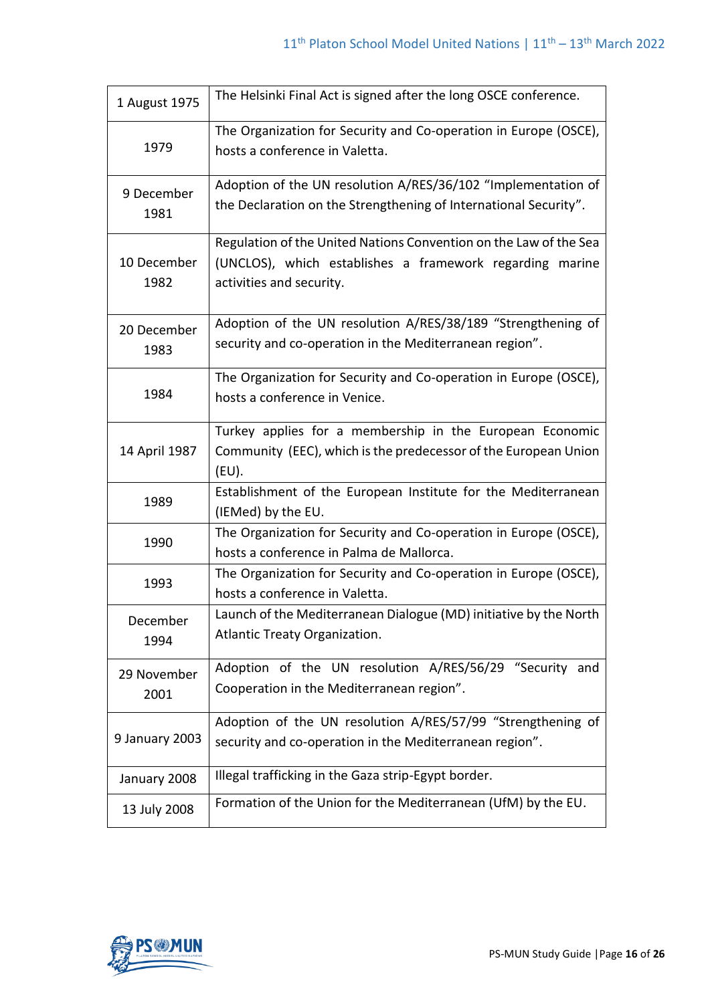| 1 August 1975       | The Helsinki Final Act is signed after the long OSCE conference.                                                                                          |
|---------------------|-----------------------------------------------------------------------------------------------------------------------------------------------------------|
| 1979                | The Organization for Security and Co-operation in Europe (OSCE),<br>hosts a conference in Valetta.                                                        |
| 9 December<br>1981  | Adoption of the UN resolution A/RES/36/102 "Implementation of<br>the Declaration on the Strengthening of International Security".                         |
| 10 December<br>1982 | Regulation of the United Nations Convention on the Law of the Sea<br>(UNCLOS), which establishes a framework regarding marine<br>activities and security. |
| 20 December<br>1983 | Adoption of the UN resolution A/RES/38/189 "Strengthening of<br>security and co-operation in the Mediterranean region".                                   |
| 1984                | The Organization for Security and Co-operation in Europe (OSCE),<br>hosts a conference in Venice.                                                         |
| 14 April 1987       | Turkey applies for a membership in the European Economic<br>Community (EEC), which is the predecessor of the European Union<br>$(EU)$ .                   |
| 1989                | Establishment of the European Institute for the Mediterranean<br>(IEMed) by the EU.                                                                       |
| 1990                | The Organization for Security and Co-operation in Europe (OSCE),<br>hosts a conference in Palma de Mallorca.                                              |
| 1993                | The Organization for Security and Co-operation in Europe (OSCE),<br>hosts a conference in Valetta.                                                        |
| December<br>1994    | Launch of the Mediterranean Dialogue (MD) initiative by the North<br>Atlantic Treaty Organization.                                                        |
| 29 November<br>2001 | Adoption of the UN resolution A/RES/56/29 "Security and<br>Cooperation in the Mediterranean region".                                                      |
| 9 January 2003      | Adoption of the UN resolution A/RES/57/99 "Strengthening of<br>security and co-operation in the Mediterranean region".                                    |
| January 2008        | Illegal trafficking in the Gaza strip-Egypt border.                                                                                                       |
| 13 July 2008        | Formation of the Union for the Mediterranean (UfM) by the EU.                                                                                             |

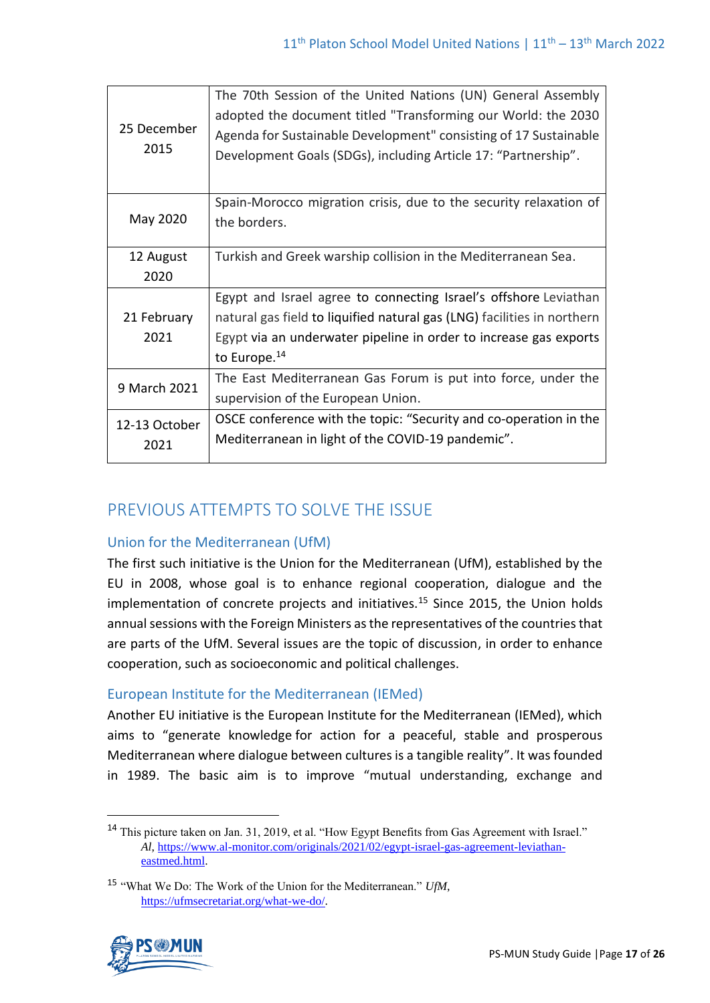| 25 December<br>2015   | The 70th Session of the United Nations (UN) General Assembly<br>adopted the document titled "Transforming our World: the 2030<br>Agenda for Sustainable Development" consisting of 17 Sustainable<br>Development Goals (SDGs), including Article 17: "Partnership". |
|-----------------------|---------------------------------------------------------------------------------------------------------------------------------------------------------------------------------------------------------------------------------------------------------------------|
| May 2020              | Spain-Morocco migration crisis, due to the security relaxation of<br>the borders.                                                                                                                                                                                   |
| 12 August<br>2020     | Turkish and Greek warship collision in the Mediterranean Sea.                                                                                                                                                                                                       |
| 21 February<br>2021   | Egypt and Israel agree to connecting Israel's offshore Leviathan<br>natural gas field to liquified natural gas (LNG) facilities in northern<br>Egypt via an underwater pipeline in order to increase gas exports<br>to Europe. <sup>14</sup>                        |
| 9 March 2021          | The East Mediterranean Gas Forum is put into force, under the<br>supervision of the European Union.                                                                                                                                                                 |
| 12-13 October<br>2021 | OSCE conference with the topic: "Security and co-operation in the<br>Mediterranean in light of the COVID-19 pandemic".                                                                                                                                              |

# PREVIOUS ATTEMPTS TO SOLVE THE ISSUE

# Union for the Mediterranean (UfM)

The first such initiative is the Union for the Mediterranean (UfM), established by the EU in 2008, whose goal is to enhance regional cooperation, dialogue and the implementation of concrete projects and initiatives.<sup>15</sup> Since 2015, the Union holds annual sessions with the Foreign Ministers as the representatives of the countries that are parts of the UfM. Several issues are the topic of discussion, in order to enhance cooperation, such as socioeconomic and political challenges.

# European Institute for the Mediterranean (IEMed)

Another EU initiative is the European Institute for the Mediterranean (IEMed), which aims to "generate knowledge for action for a peaceful, stable and prosperous Mediterranean where dialogue between cultures is a tangible reality". It was founded in 1989. The basic aim is to improve "mutual understanding, exchange and

<sup>15</sup> "What We Do: The Work of the Union for the Mediterranean." *UfM*, [https://ufmsecretariat.org/what-we-do/.](https://ufmsecretariat.org/what-we-do/)



<sup>14</sup> This picture taken on Jan. 31, 2019, et al. "How Egypt Benefits from Gas Agreement with Israel." *Al*, [https://www.al-monitor.com/originals/2021/02/egypt-israel-gas-agreement-leviathan](https://www.al-monitor.com/originals/2021/02/egypt-israel-gas-agreement-leviathan-eastmed.html)[eastmed.html.](https://www.al-monitor.com/originals/2021/02/egypt-israel-gas-agreement-leviathan-eastmed.html)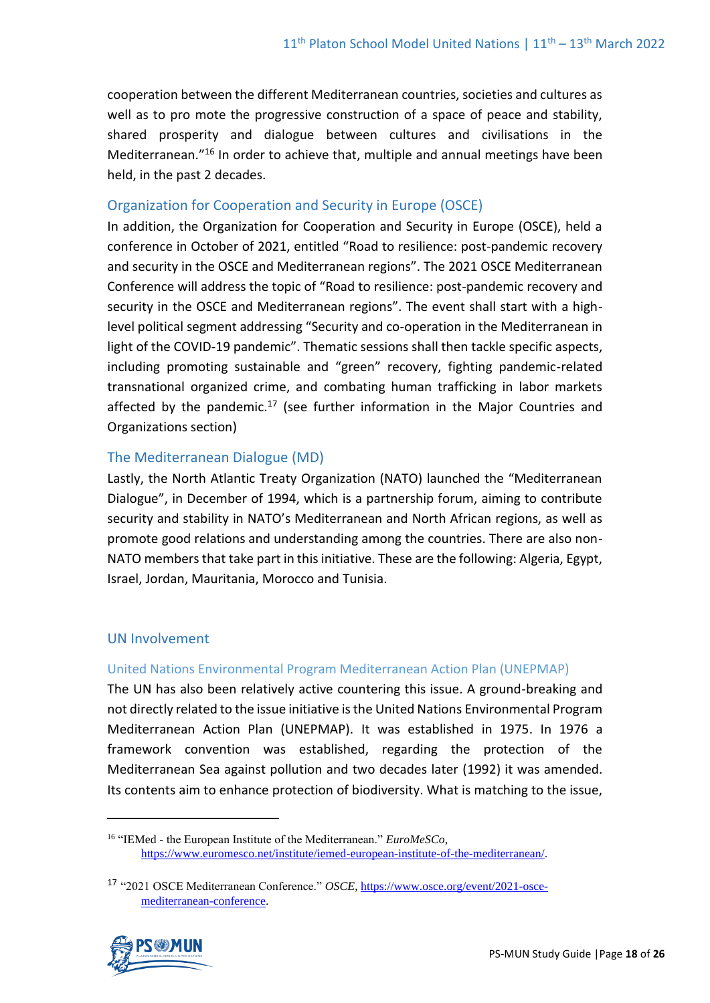cooperation between the different Mediterranean countries, societies and cultures as well as to pro mote the progressive construction of a space of peace and stability, shared prosperity and dialogue between cultures and civilisations in the Mediterranean." <sup>16</sup> In order to achieve that, multiple and annual meetings have been held, in the past 2 decades.

# Organization for Cooperation and Security in Europe (OSCE)

In addition, the Organization for Cooperation and Security in Europe (OSCE), held a conference in October of 2021, entitled "Road to resilience: post-pandemic recovery and security in the OSCE and Mediterranean regions". The 2021 OSCE Mediterranean Conference will address the topic of "Road to resilience: post-pandemic recovery and security in the OSCE and Mediterranean regions". The event shall start with a highlevel political segment addressing "Security and co-operation in the Mediterranean in light of the COVID-19 pandemic". Thematic sessions shall then tackle specific aspects, including promoting sustainable and "green" recovery, fighting pandemic-related transnational organized crime, and combating human trafficking in labor markets affected by the pandemic.<sup>17</sup> (see further information in the Major Countries and Organizations section)

## The Mediterranean Dialogue (MD)

Lastly, the North Atlantic Treaty Organization (NATO) launched the "Mediterranean Dialogue", in December of 1994, which is a partnership forum, aiming to contribute security and stability in NATO's Mediterranean and North African regions, as well as promote good relations and understanding among the countries. There are also non-NATO members that take part in this initiative. These are the following: Algeria, Egypt, Israel, Jordan, Mauritania, Morocco and Tunisia.

# UN Involvement

## United Nations Environmental Program Mediterranean Action Plan (UNEPMAP)

The UN has also been relatively active countering this issue. A ground-breaking and not directly related to the issue initiative is the United Nations Environmental Program Mediterranean Action Plan (UNEPMAP). It was established in 1975. In 1976 a framework convention was established, regarding the protection of the Mediterranean Sea against pollution and two decades later (1992) it was amended. Its contents aim to enhance protection of biodiversity. What is matching to the issue,

<sup>17</sup> "2021 OSCE Mediterranean Conference." *OSCE*[, https://www.osce.org/event/2021-osce](https://www.osce.org/event/2021-osce-mediterranean-conference)[mediterranean-conference.](https://www.osce.org/event/2021-osce-mediterranean-conference)



<sup>16</sup> "IEMed - the European Institute of the Mediterranean." *EuroMeSCo*, [https://www.euromesco.net/institute/iemed-european-institute-of-the-mediterranean/.](https://www.euromesco.net/institute/iemed-european-institute-of-the-mediterranean/)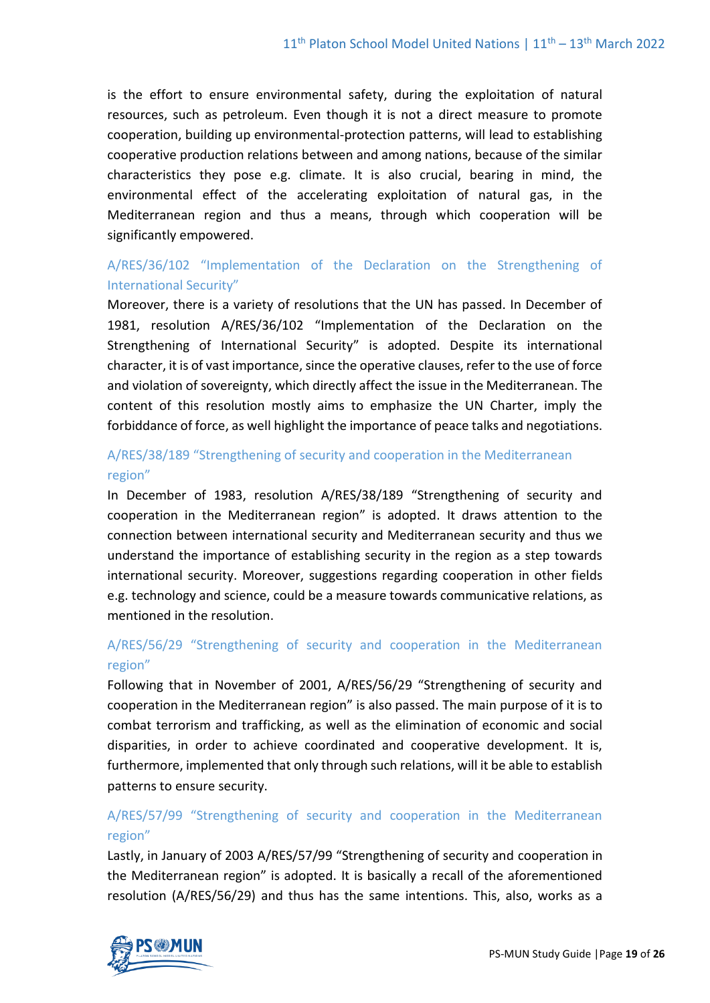is the effort to ensure environmental safety, during the exploitation of natural resources, such as petroleum. Even though it is not a direct measure to promote cooperation, building up environmental-protection patterns, will lead to establishing cooperative production relations between and among nations, because of the similar characteristics they pose e.g. climate. It is also crucial, bearing in mind, the environmental effect of the accelerating exploitation of natural gas, in the Mediterranean region and thus a means, through which cooperation will be significantly empowered.

# A/RES/36/102 "Implementation of the Declaration on the Strengthening of International Security"

Moreover, there is a variety of resolutions that the UN has passed. In December of 1981, resolution A/RES/36/102 "Implementation of the Declaration on the Strengthening of International Security" is adopted. Despite its international character, it is of vast importance, since the operative clauses, refer to the use of force and violation of sovereignty, which directly affect the issue in the Mediterranean. The content of this resolution mostly aims to emphasize the UN Charter, imply the forbiddance of force, as well highlight the importance of peace talks and negotiations.

# A/RES/38/189 "Strengthening of security and cooperation in the Mediterranean region"

In December of 1983, resolution A/RES/38/189 "Strengthening of security and cooperation in the Mediterranean region" is adopted. It draws attention to the connection between international security and Mediterranean security and thus we understand the importance of establishing security in the region as a step towards international security. Moreover, suggestions regarding cooperation in other fields e.g. technology and science, could be a measure towards communicative relations, as mentioned in the resolution.

# A/RES/56/29 "Strengthening of security and cooperation in the Mediterranean region"

Following that in November of 2001, A/RES/56/29 "Strengthening of security and cooperation in the Mediterranean region" is also passed. The main purpose of it is to combat terrorism and trafficking, as well as the elimination of economic and social disparities, in order to achieve coordinated and cooperative development. It is, furthermore, implemented that only through such relations, will it be able to establish patterns to ensure security.

# A/RES/57/99 "Strengthening of security and cooperation in the Mediterranean region"

Lastly, in January of 2003 A/RES/57/99 "Strengthening of security and cooperation in the Mediterranean region" is adopted. It is basically a recall of the aforementioned resolution (A/RES/56/29) and thus has the same intentions. This, also, works as a

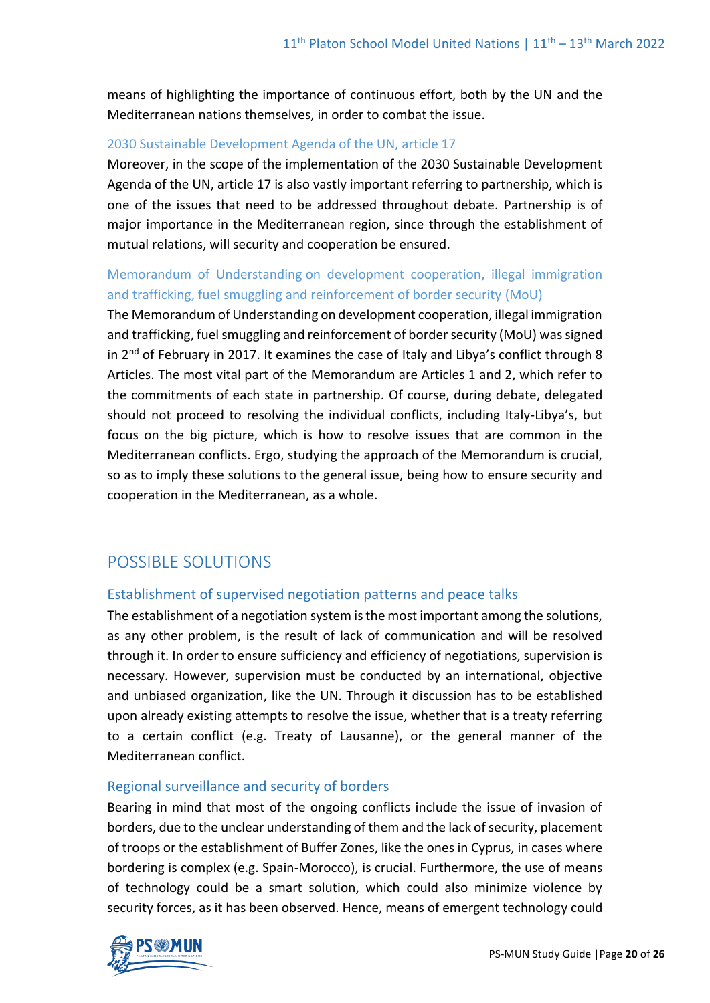means of highlighting the importance of continuous effort, both by the UN and the Mediterranean nations themselves, in order to combat the issue.

#### 2030 Sustainable Development Agenda of the UN, article 17

Moreover, in the scope of the implementation of the 2030 Sustainable Development Agenda of the UN, article 17 is also vastly important referring to partnership, which is one of the issues that need to be addressed throughout debate. Partnership is of major importance in the Mediterranean region, since through the establishment of mutual relations, will security and cooperation be ensured.

# [Memorandum of Understanding](http://itra.esteri.it/vwPdf/wfrmRenderPdf.aspx?ID=50975) on development cooperation, illegal immigration and trafficking, fuel smuggling and reinforcement of border security (MoU)

The Memorandum of Understanding on development cooperation, illegal immigration and trafficking, fuel smuggling and reinforcement of border security (MoU) was signed in 2<sup>nd</sup> of February in 2017. It examines the case of Italy and Libya's conflict through 8 Articles. The most vital part of the Memorandum are Articles 1 and 2, which refer to the commitments of each state in partnership. Of course, during debate, delegated should not proceed to resolving the individual conflicts, including Italy-Libya's, but focus on the big picture, which is how to resolve issues that are common in the Mediterranean conflicts. Ergo, studying the approach of the Memorandum is crucial, so as to imply these solutions to the general issue, being how to ensure security and cooperation in the Mediterranean, as a whole.

# POSSIBLE SOLUTIONS

## Establishment of supervised negotiation patterns and peace talks

The establishment of a negotiation system is the most important among the solutions, as any other problem, is the result of lack of communication and will be resolved through it. In order to ensure sufficiency and efficiency of negotiations, supervision is necessary. However, supervision must be conducted by an international, objective and unbiased organization, like the UN. Through it discussion has to be established upon already existing attempts to resolve the issue, whether that is a treaty referring to a certain conflict (e.g. Treaty of Lausanne), or the general manner of the Mediterranean conflict.

## Regional surveillance and security of borders

Bearing in mind that most of the ongoing conflicts include the issue of invasion of borders, due to the unclear understanding of them and the lack of security, placement of troops or the establishment of Buffer Zones, like the ones in Cyprus, in cases where bordering is complex (e.g. Spain-Morocco), is crucial. Furthermore, the use of means of technology could be a smart solution, which could also minimize violence by security forces, as it has been observed. Hence, means of emergent technology could

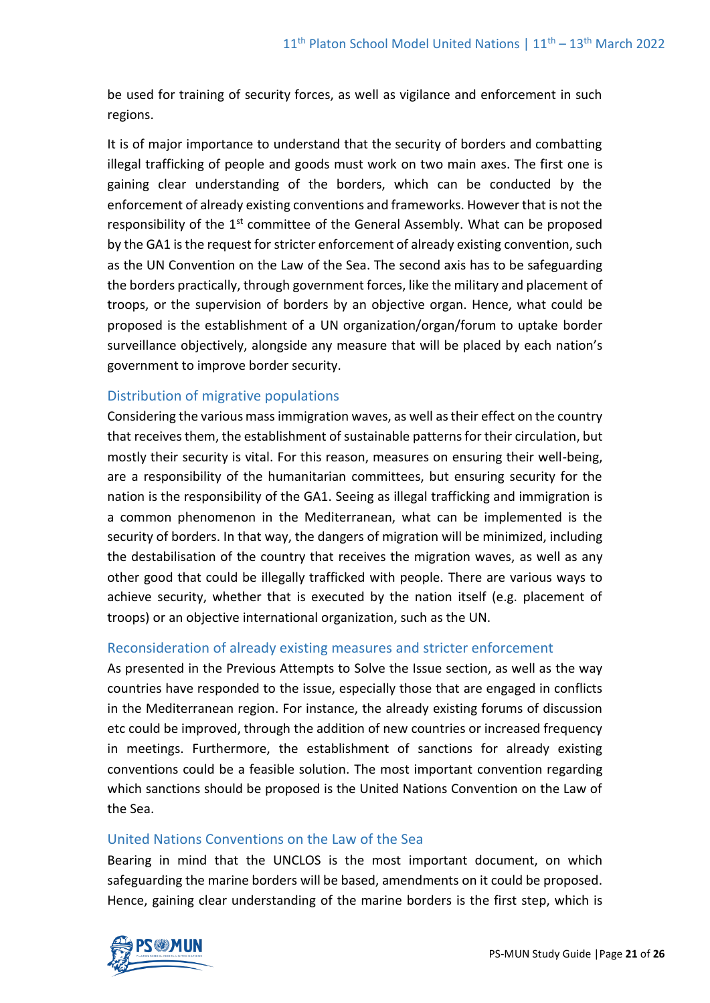be used for training of security forces, as well as vigilance and enforcement in such regions.

It is of major importance to understand that the security of borders and combatting illegal trafficking of people and goods must work on two main axes. The first one is gaining clear understanding of the borders, which can be conducted by the enforcement of already existing conventions and frameworks. However that is not the responsibility of the  $1<sup>st</sup>$  committee of the General Assembly. What can be proposed by the GA1 is the request for stricter enforcement of already existing convention, such as the UN Convention on the Law of the Sea. The second axis has to be safeguarding the borders practically, through government forces, like the military and placement of troops, or the supervision of borders by an objective organ. Hence, what could be proposed is the establishment of a UN organization/organ/forum to uptake border surveillance objectively, alongside any measure that will be placed by each nation's government to improve border security.

## Distribution of migrative populations

Considering the various mass immigration waves, as well as their effect on the country that receives them, the establishment of sustainable patterns for their circulation, but mostly their security is vital. For this reason, measures on ensuring their well-being, are a responsibility of the humanitarian committees, but ensuring security for the nation is the responsibility of the GA1. Seeing as illegal trafficking and immigration is a common phenomenon in the Mediterranean, what can be implemented is the security of borders. In that way, the dangers of migration will be minimized, including the destabilisation of the country that receives the migration waves, as well as any other good that could be illegally trafficked with people. There are various ways to achieve security, whether that is executed by the nation itself (e.g. placement of troops) or an objective international organization, such as the UN.

## Reconsideration of already existing measures and stricter enforcement

As presented in the Previous Attempts to Solve the Issue section, as well as the way countries have responded to the issue, especially those that are engaged in conflicts in the Mediterranean region. For instance, the already existing forums of discussion etc could be improved, through the addition of new countries or increased frequency in meetings. Furthermore, the establishment of sanctions for already existing conventions could be a feasible solution. The most important convention regarding which sanctions should be proposed is the United Nations Convention on the Law of the Sea.

## United Nations Conventions on the Law of the Sea

Bearing in mind that the UNCLOS is the most important document, on which safeguarding the marine borders will be based, amendments on it could be proposed. Hence, gaining clear understanding of the marine borders is the first step, which is

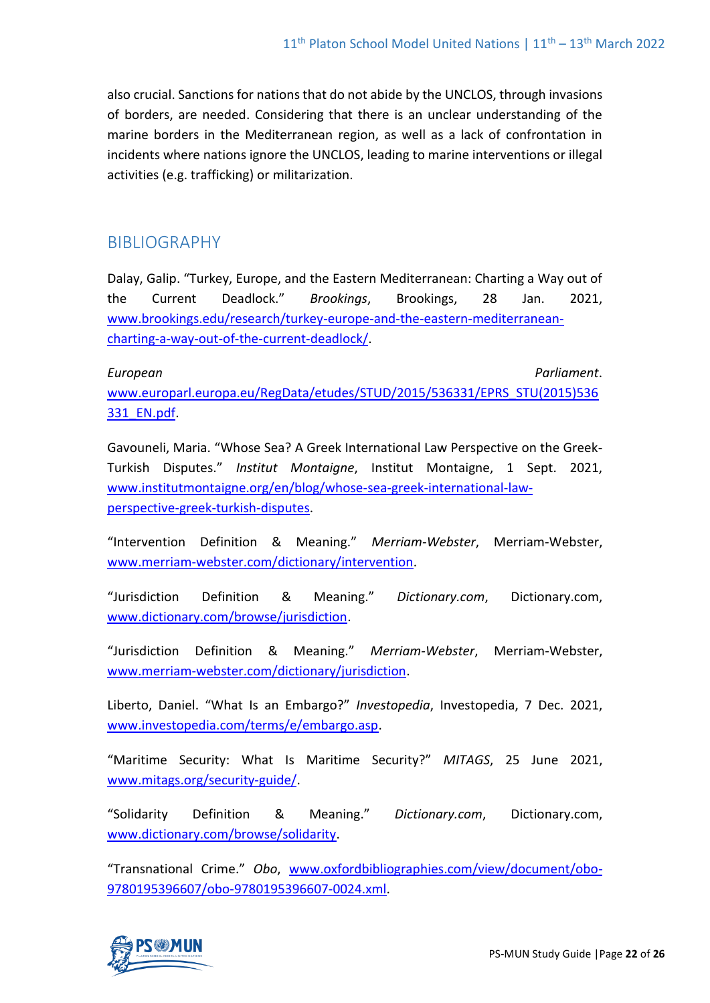also crucial. Sanctions for nations that do not abide by the UNCLOS, through invasions of borders, are needed. Considering that there is an unclear understanding of the marine borders in the Mediterranean region, as well as a lack of confrontation in incidents where nations ignore the UNCLOS, leading to marine interventions or illegal activities (e.g. trafficking) or militarization.

# BIBLIOGRAPHY

Dalay, Galip. "Turkey, Europe, and the Eastern Mediterranean: Charting a Way out of the Current Deadlock." *Brookings*, Brookings, 28 Jan. 2021, [www.brookings.edu/research/turkey-europe-and-the-eastern-mediterranean](http://www.brookings.edu/research/turkey-europe-and-the-eastern-mediterranean-charting-a-way-out-of-the-current-deadlock/)[charting-a-way-out-of-the-current-deadlock/.](http://www.brookings.edu/research/turkey-europe-and-the-eastern-mediterranean-charting-a-way-out-of-the-current-deadlock/)

*European Parliament*. [www.europarl.europa.eu/RegData/etudes/STUD/2015/536331/EPRS\\_STU\(2015\)536](http://www.europarl.europa.eu/RegData/etudes/STUD/2015/536331/EPRS_STU(2015)536331_EN.pdf) [331\\_EN.pdf.](http://www.europarl.europa.eu/RegData/etudes/STUD/2015/536331/EPRS_STU(2015)536331_EN.pdf)

Gavouneli, Maria. "Whose Sea? A Greek International Law Perspective on the Greek-Turkish Disputes." *Institut Montaigne*, Institut Montaigne, 1 Sept. 2021, [www.institutmontaigne.org/en/blog/whose-sea-greek-international-law](http://www.institutmontaigne.org/en/blog/whose-sea-greek-international-law-perspective-greek-turkish-disputes)[perspective-greek-turkish-disputes.](http://www.institutmontaigne.org/en/blog/whose-sea-greek-international-law-perspective-greek-turkish-disputes)

"Intervention Definition & Meaning." *Merriam-Webster*, Merriam-Webster, [www.merriam-webster.com/dictionary/intervention.](http://www.merriam-webster.com/dictionary/intervention)

"Jurisdiction Definition & Meaning." *Dictionary.com*, Dictionary.com, [www.dictionary.com/browse/jurisdiction.](http://www.dictionary.com/browse/jurisdiction)

"Jurisdiction Definition & Meaning." *Merriam-Webster*, Merriam-Webster, [www.merriam-webster.com/dictionary/jurisdiction.](http://www.merriam-webster.com/dictionary/jurisdiction)

Liberto, Daniel. "What Is an Embargo?" *Investopedia*, Investopedia, 7 Dec. 2021, [www.investopedia.com/terms/e/embargo.asp.](http://www.investopedia.com/terms/e/embargo.asp)

"Maritime Security: What Is Maritime Security?" *MITAGS*, 25 June 2021, [www.mitags.org/security-guide/.](http://www.mitags.org/security-guide/)

"Solidarity Definition & Meaning." *Dictionary.com*, Dictionary.com, [www.dictionary.com/browse/solidarity.](http://www.dictionary.com/browse/solidarity)

"Transnational Crime." *Obo*, [www.oxfordbibliographies.com/view/document/obo-](http://www.oxfordbibliographies.com/view/document/obo-9780195396607/obo-9780195396607-0024.xml)[9780195396607/obo-9780195396607-0024.xml.](http://www.oxfordbibliographies.com/view/document/obo-9780195396607/obo-9780195396607-0024.xml)

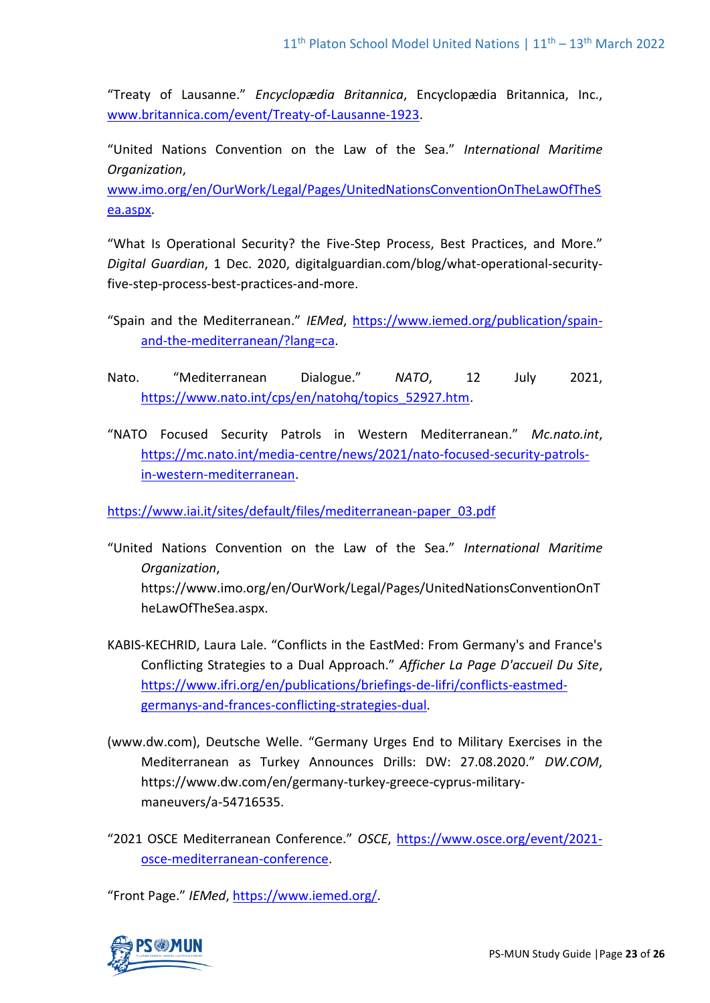"Treaty of Lausanne." *Encyclopædia Britannica*, Encyclopædia Britannica, Inc., [www.britannica.com/event/Treaty-of-Lausanne-1923.](http://www.britannica.com/event/Treaty-of-Lausanne-1923)

"United Nations Convention on the Law of the Sea." *International Maritime Organization*,

[www.imo.org/en/OurWork/Legal/Pages/UnitedNationsConventionOnTheLawOfTheS](http://www.imo.org/en/OurWork/Legal/Pages/UnitedNationsConventionOnTheLawOfTheSea.aspx) [ea.aspx.](http://www.imo.org/en/OurWork/Legal/Pages/UnitedNationsConventionOnTheLawOfTheSea.aspx)

"What Is Operational Security? the Five-Step Process, Best Practices, and More." *Digital Guardian*, 1 Dec. 2020, digitalguardian.com/blog/what-operational-securityfive-step-process-best-practices-and-more.

- "Spain and the Mediterranean." *IEMed*, [https://www.iemed.org/publication/spain](https://www.iemed.org/publication/spain-and-the-mediterranean/?lang=ca)[and-the-mediterranean/?lang=ca.](https://www.iemed.org/publication/spain-and-the-mediterranean/?lang=ca)
- Nato. "Mediterranean Dialogue." *NATO*, 12 July 2021, [https://www.nato.int/cps/en/natohq/topics\\_52927.htm.](https://www.nato.int/cps/en/natohq/topics_52927.htm)
- "NATO Focused Security Patrols in Western Mediterranean." *Mc.nato.int*, [https://mc.nato.int/media-centre/news/2021/nato-focused-security-patrols](https://mc.nato.int/media-centre/news/2021/nato-focused-security-patrols-in-western-mediterranean)[in-western-mediterranean.](https://mc.nato.int/media-centre/news/2021/nato-focused-security-patrols-in-western-mediterranean)

[https://www.iai.it/sites/default/files/mediterranean-paper\\_03.pdf](https://www.iai.it/sites/default/files/mediterranean-paper_03.pdf)

- "United Nations Convention on the Law of the Sea." *International Maritime Organization*, https://www.imo.org/en/OurWork/Legal/Pages/UnitedNationsConventionOnT heLawOfTheSea.aspx.
- KABIS-KECHRID, Laura Lale. "Conflicts in the EastMed: From Germany's and France's Conflicting Strategies to a Dual Approach." *Afficher La Page D'accueil Du Site*, [https://www.ifri.org/en/publications/briefings-de-lifri/conflicts-eastmed](https://www.ifri.org/en/publications/briefings-de-lifri/conflicts-eastmed-germanys-and-frances-conflicting-strategies-dual)[germanys-and-frances-conflicting-strategies-dual.](https://www.ifri.org/en/publications/briefings-de-lifri/conflicts-eastmed-germanys-and-frances-conflicting-strategies-dual)
- (www.dw.com), Deutsche Welle. "Germany Urges End to Military Exercises in the Mediterranean as Turkey Announces Drills: DW: 27.08.2020." *DW.COM*, https://www.dw.com/en/germany-turkey-greece-cyprus-militarymaneuvers/a-54716535.
- "2021 OSCE Mediterranean Conference." *OSCE*, [https://www.osce.org/event/2021](https://www.osce.org/event/2021-osce-mediterranean-conference) [osce-mediterranean-conference.](https://www.osce.org/event/2021-osce-mediterranean-conference)

"Front Page." *IEMed*, [https://www.iemed.org/.](https://www.iemed.org/)

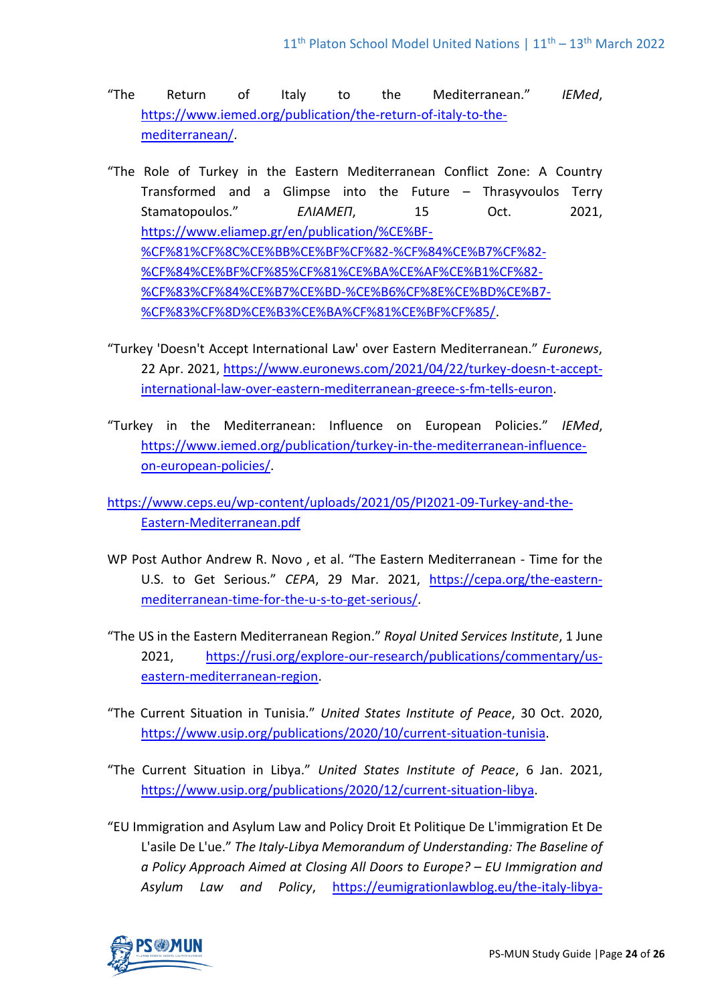- "The Return of Italy to the Mediterranean." *IEMed*, [https://www.iemed.org/publication/the-return-of-italy-to-the](https://www.iemed.org/publication/the-return-of-italy-to-the-mediterranean/)[mediterranean/.](https://www.iemed.org/publication/the-return-of-italy-to-the-mediterranean/)
- "The Role of Turkey in the Eastern Mediterranean Conflict Zone: A Country Transformed and a Glimpse into the Future – Thrasyvoulos Terry Stamatopoulos." *ΕΛΙΑΜΕΠ*, 15 Oct. 2021, [https://www.eliamep.gr/en/publication/%CE%BF-](https://www.eliamep.gr/en/publication/%CE%BF-%CF%81%CF%8C%CE%BB%CE%BF%CF%82-%CF%84%CE%B7%CF%82-%CF%84%CE%BF%CF%85%CF%81%CE%BA%CE%AF%CE%B1%CF%82-%CF%83%CF%84%CE%B7%CE%BD-%CE%B6%CF%8E%CE%BD%CE%B7-%CF%83%CF%8D%CE%B3%CE%BA%CF%81%CE%BF%CF%85/) [%CF%81%CF%8C%CE%BB%CE%BF%CF%82-%CF%84%CE%B7%CF%82-](https://www.eliamep.gr/en/publication/%CE%BF-%CF%81%CF%8C%CE%BB%CE%BF%CF%82-%CF%84%CE%B7%CF%82-%CF%84%CE%BF%CF%85%CF%81%CE%BA%CE%AF%CE%B1%CF%82-%CF%83%CF%84%CE%B7%CE%BD-%CE%B6%CF%8E%CE%BD%CE%B7-%CF%83%CF%8D%CE%B3%CE%BA%CF%81%CE%BF%CF%85/) [%CF%84%CE%BF%CF%85%CF%81%CE%BA%CE%AF%CE%B1%CF%82-](https://www.eliamep.gr/en/publication/%CE%BF-%CF%81%CF%8C%CE%BB%CE%BF%CF%82-%CF%84%CE%B7%CF%82-%CF%84%CE%BF%CF%85%CF%81%CE%BA%CE%AF%CE%B1%CF%82-%CF%83%CF%84%CE%B7%CE%BD-%CE%B6%CF%8E%CE%BD%CE%B7-%CF%83%CF%8D%CE%B3%CE%BA%CF%81%CE%BF%CF%85/) [%CF%83%CF%84%CE%B7%CE%BD-%CE%B6%CF%8E%CE%BD%CE%B7-](https://www.eliamep.gr/en/publication/%CE%BF-%CF%81%CF%8C%CE%BB%CE%BF%CF%82-%CF%84%CE%B7%CF%82-%CF%84%CE%BF%CF%85%CF%81%CE%BA%CE%AF%CE%B1%CF%82-%CF%83%CF%84%CE%B7%CE%BD-%CE%B6%CF%8E%CE%BD%CE%B7-%CF%83%CF%8D%CE%B3%CE%BA%CF%81%CE%BF%CF%85/) [%CF%83%CF%8D%CE%B3%CE%BA%CF%81%CE%BF%CF%85/.](https://www.eliamep.gr/en/publication/%CE%BF-%CF%81%CF%8C%CE%BB%CE%BF%CF%82-%CF%84%CE%B7%CF%82-%CF%84%CE%BF%CF%85%CF%81%CE%BA%CE%AF%CE%B1%CF%82-%CF%83%CF%84%CE%B7%CE%BD-%CE%B6%CF%8E%CE%BD%CE%B7-%CF%83%CF%8D%CE%B3%CE%BA%CF%81%CE%BF%CF%85/)
- "Turkey 'Doesn't Accept International Law' over Eastern Mediterranean." *Euronews*, 22 Apr. 2021, [https://www.euronews.com/2021/04/22/turkey-doesn-t-accept](https://www.euronews.com/2021/04/22/turkey-doesn-t-accept-international-law-over-eastern-mediterranean-greece-s-fm-tells-euron)[international-law-over-eastern-mediterranean-greece-s-fm-tells-euron.](https://www.euronews.com/2021/04/22/turkey-doesn-t-accept-international-law-over-eastern-mediterranean-greece-s-fm-tells-euron)
- "Turkey in the Mediterranean: Influence on European Policies." *IEMed*, [https://www.iemed.org/publication/turkey-in-the-mediterranean-influence](https://www.iemed.org/publication/turkey-in-the-mediterranean-influence-on-european-policies/)[on-european-policies/.](https://www.iemed.org/publication/turkey-in-the-mediterranean-influence-on-european-policies/)

[https://www.ceps.eu/wp-content/uploads/2021/05/PI2021-09-Turkey-and-the-](https://www.ceps.eu/wp-content/uploads/2021/05/PI2021-09-Turkey-and-the-Eastern-Mediterranean.pdf)[Eastern-Mediterranean.pdf](https://www.ceps.eu/wp-content/uploads/2021/05/PI2021-09-Turkey-and-the-Eastern-Mediterranean.pdf)

- WP Post Author Andrew R. Novo , et al. "The Eastern Mediterranean Time for the U.S. to Get Serious." *CEPA*, 29 Mar. 2021, [https://cepa.org/the-eastern](https://cepa.org/the-eastern-mediterranean-time-for-the-u-s-to-get-serious/)[mediterranean-time-for-the-u-s-to-get-serious/.](https://cepa.org/the-eastern-mediterranean-time-for-the-u-s-to-get-serious/)
- "The US in the Eastern Mediterranean Region." *Royal United Services Institute*, 1 June 2021, [https://rusi.org/explore-our-research/publications/commentary/us](https://rusi.org/explore-our-research/publications/commentary/us-eastern-mediterranean-region)[eastern-mediterranean-region.](https://rusi.org/explore-our-research/publications/commentary/us-eastern-mediterranean-region)
- "The Current Situation in Tunisia." *United States Institute of Peace*, 30 Oct. 2020, [https://www.usip.org/publications/2020/10/current-situation-tunisia.](https://www.usip.org/publications/2020/10/current-situation-tunisia)
- "The Current Situation in Libya." *United States Institute of Peace*, 6 Jan. 2021, [https://www.usip.org/publications/2020/12/current-situation-libya.](https://www.usip.org/publications/2020/12/current-situation-libya)
- "EU Immigration and Asylum Law and Policy Droit Et Politique De L'immigration Et De L'asile De L'ue." *The Italy-Libya Memorandum of Understanding: The Baseline of a Policy Approach Aimed at Closing All Doors to Europe? – EU Immigration and Asylum Law and Policy*, [https://eumigrationlawblog.eu/the-italy-libya-](https://eumigrationlawblog.eu/the-italy-libya-memorandum-of-understanding-the-baseline-of-a-policy-approach-aimed-at-closing-all-doors-to-europe/)

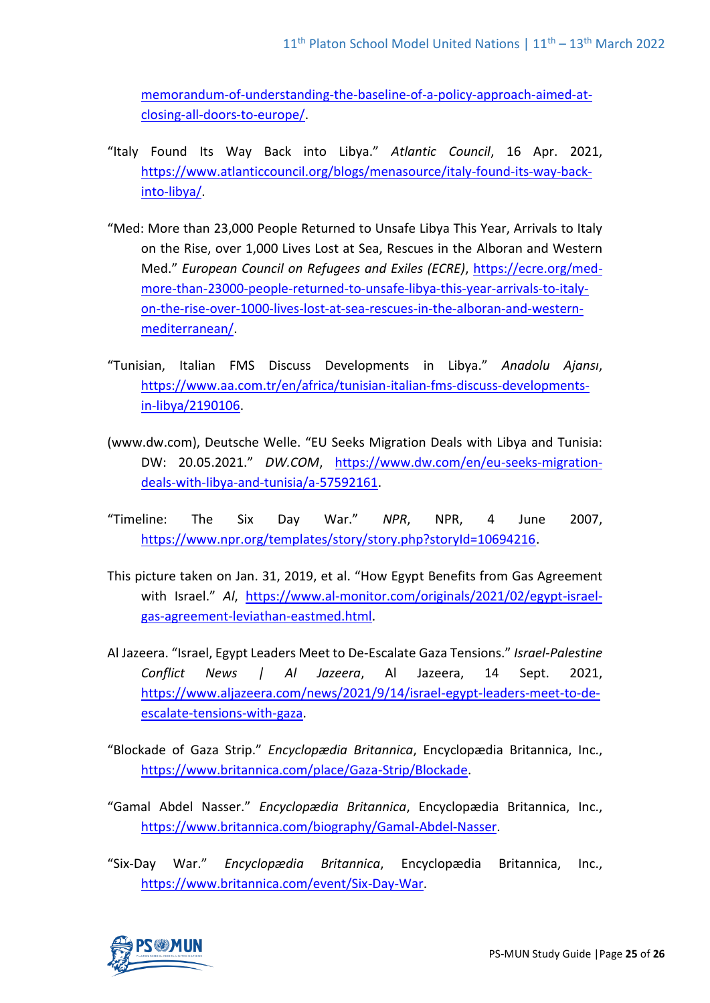[memorandum-of-understanding-the-baseline-of-a-policy-approach-aimed-at](https://eumigrationlawblog.eu/the-italy-libya-memorandum-of-understanding-the-baseline-of-a-policy-approach-aimed-at-closing-all-doors-to-europe/)[closing-all-doors-to-europe/.](https://eumigrationlawblog.eu/the-italy-libya-memorandum-of-understanding-the-baseline-of-a-policy-approach-aimed-at-closing-all-doors-to-europe/)

- "Italy Found Its Way Back into Libya." *Atlantic Council*, 16 Apr. 2021, [https://www.atlanticcouncil.org/blogs/menasource/italy-found-its-way-back](https://www.atlanticcouncil.org/blogs/menasource/italy-found-its-way-back-into-libya/)[into-libya/.](https://www.atlanticcouncil.org/blogs/menasource/italy-found-its-way-back-into-libya/)
- "Med: More than 23,000 People Returned to Unsafe Libya This Year, Arrivals to Italy on the Rise, over 1,000 Lives Lost at Sea, Rescues in the Alboran and Western Med." *European Council on Refugees and Exiles (ECRE)*, [https://ecre.org/med](https://ecre.org/med-more-than-23000-people-returned-to-unsafe-libya-this-year-arrivals-to-italy-on-the-rise-over-1000-lives-lost-at-sea-rescues-in-the-alboran-and-western-mediterranean/)[more-than-23000-people-returned-to-unsafe-libya-this-year-arrivals-to-italy](https://ecre.org/med-more-than-23000-people-returned-to-unsafe-libya-this-year-arrivals-to-italy-on-the-rise-over-1000-lives-lost-at-sea-rescues-in-the-alboran-and-western-mediterranean/)[on-the-rise-over-1000-lives-lost-at-sea-rescues-in-the-alboran-and-western](https://ecre.org/med-more-than-23000-people-returned-to-unsafe-libya-this-year-arrivals-to-italy-on-the-rise-over-1000-lives-lost-at-sea-rescues-in-the-alboran-and-western-mediterranean/)[mediterranean/.](https://ecre.org/med-more-than-23000-people-returned-to-unsafe-libya-this-year-arrivals-to-italy-on-the-rise-over-1000-lives-lost-at-sea-rescues-in-the-alboran-and-western-mediterranean/)
- "Tunisian, Italian FMS Discuss Developments in Libya." *Anadolu Ajansı*, [https://www.aa.com.tr/en/africa/tunisian-italian-fms-discuss-developments](https://www.aa.com.tr/en/africa/tunisian-italian-fms-discuss-developments-in-libya/2190106)[in-libya/2190106.](https://www.aa.com.tr/en/africa/tunisian-italian-fms-discuss-developments-in-libya/2190106)
- (www.dw.com), Deutsche Welle. "EU Seeks Migration Deals with Libya and Tunisia: DW: 20.05.2021." *DW.COM*, [https://www.dw.com/en/eu-seeks-migration](https://www.dw.com/en/eu-seeks-migration-deals-with-libya-and-tunisia/a-57592161)[deals-with-libya-and-tunisia/a-57592161.](https://www.dw.com/en/eu-seeks-migration-deals-with-libya-and-tunisia/a-57592161)
- "Timeline: The Six Day War." *NPR*, NPR, 4 June 2007, [https://www.npr.org/templates/story/story.php?storyId=10694216.](https://www.npr.org/templates/story/story.php?storyId=10694216)
- This picture taken on Jan. 31, 2019, et al. "How Egypt Benefits from Gas Agreement with Israel." *Al*, [https://www.al-monitor.com/originals/2021/02/egypt-israel](https://www.al-monitor.com/originals/2021/02/egypt-israel-gas-agreement-leviathan-eastmed.html)[gas-agreement-leviathan-eastmed.html.](https://www.al-monitor.com/originals/2021/02/egypt-israel-gas-agreement-leviathan-eastmed.html)
- Al Jazeera. "Israel, Egypt Leaders Meet to De-Escalate Gaza Tensions." *Israel-Palestine Conflict News | Al Jazeera*, Al Jazeera, 14 Sept. 2021, [https://www.aljazeera.com/news/2021/9/14/israel-egypt-leaders-meet-to-de](https://www.aljazeera.com/news/2021/9/14/israel-egypt-leaders-meet-to-de-escalate-tensions-with-gaza)[escalate-tensions-with-gaza.](https://www.aljazeera.com/news/2021/9/14/israel-egypt-leaders-meet-to-de-escalate-tensions-with-gaza)
- "Blockade of Gaza Strip." *Encyclopædia Britannica*, Encyclopædia Britannica, Inc., [https://www.britannica.com/place/Gaza-Strip/Blockade.](https://www.britannica.com/place/Gaza-Strip/Blockade)
- "Gamal Abdel Nasser." *Encyclopædia Britannica*, Encyclopædia Britannica, Inc., [https://www.britannica.com/biography/Gamal-Abdel-Nasser.](https://www.britannica.com/biography/Gamal-Abdel-Nasser)
- "Six-Day War." *Encyclopædia Britannica*, Encyclopædia Britannica, Inc., [https://www.britannica.com/event/Six-Day-War.](https://www.britannica.com/event/Six-Day-War)